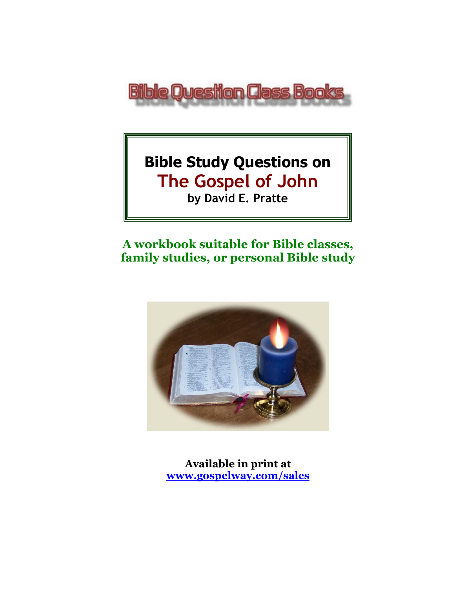

# **Bible Study Questions on The Gospel of John**

**by David E. Pratte**

# **A workbook suitable for Bible classes, family studies, or personal Bible study**



**Available in print at [www.gospelway.com/sales](https://www.gospelway.com/sales)**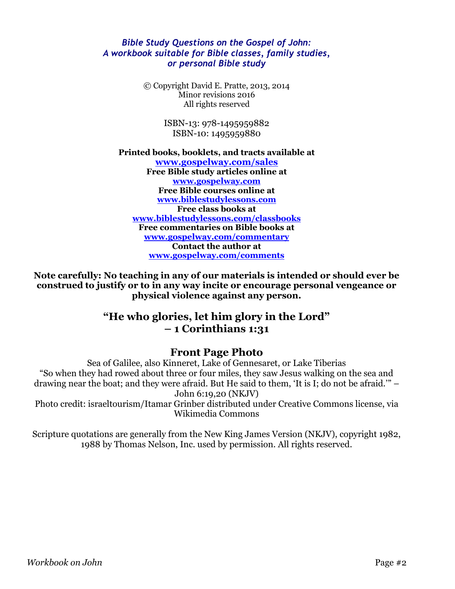#### *Bible Study Questions on the Gospel of John: A workbook suitable for Bible classes, family studies, or personal Bible study*

© Copyright David E. Pratte, 2013, 2014 Minor revisions 2016 All rights reserved

> ISBN-13: 978-1495959882 ISBN-10: 1495959880

#### **Printed books, booklets, and tracts available at [www.gospelway.com/sales](https://www.gospelway.com/sales) Free Bible study articles online at [www.gospelway.com](http://www.gospelway.com/) Free Bible courses online at [www.biblestudylessons.com](http://www.biblestudylessons.com/) Free class books at [www.biblestudylessons.com/classbooks](http://www.biblestudylessons.com/classbooks) Free commentaries on Bible books at [www.gospelway.com/commentary](http://www.gospelway.com/commentary) Contact the author at [www.gospelway.com/comments](http://www.gospelway.com/comments)**

**Note carefully: No teaching in any of our materials is intended or should ever be construed to justify or to in any way incite or encourage personal vengeance or physical violence against any person.**

### **"He who glories, let him glory in the Lord" – 1 Corinthians 1:31**

#### **Front Page Photo**

Sea of Galilee, also Kinneret, Lake of Gennesaret, or Lake Tiberias "So when they had rowed about three or four miles, they saw Jesus walking on the sea and drawing near the boat; and they were afraid. But He said to them, 'It is I; do not be afraid.'" – John 6:19,20 (NKJV)

Photo credit: israeltourism/Itamar Grinber distributed under Creative Commons license, via Wikimedia Commons

Scripture quotations are generally from the New King James Version (NKJV), copyright 1982, 1988 by Thomas Nelson, Inc. used by permission. All rights reserved.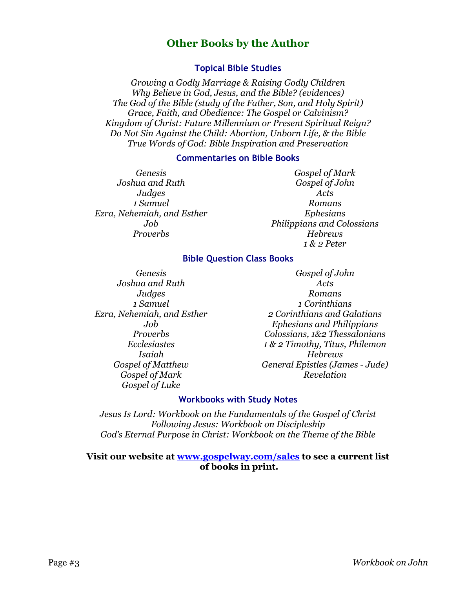#### **Other Books by the Author**

#### **Topical Bible Studies**

*Growing a Godly Marriage & Raising Godly Children Why Believe in God, Jesus, and the Bible? (evidences) The God of the Bible (study of the Father, Son, and Holy Spirit) Grace, Faith, and Obedience: The Gospel or Calvinism? Kingdom of Christ: Future Millennium or Present Spiritual Reign? Do Not Sin Against the Child: Abortion, Unborn Life, & the Bible True Words of God: Bible Inspiration and Preservation*

#### **Commentaries on Bible Books**

*Genesis Joshua and Ruth Judges 1 Samuel Ezra, Nehemiah, and Esther Job Proverbs*

*Gospel of Mark Gospel of John Acts Romans Ephesians Philippians and Colossians Hebrews 1 & 2 Peter*

#### **Bible Question Class Books**

*Genesis Joshua and Ruth Judges 1 Samuel Ezra, Nehemiah, and Esther Job Proverbs Ecclesiastes Isaiah Gospel of Matthew Gospel of Mark Gospel of Luke*

*Gospel of John Acts Romans 1 Corinthians 2 Corinthians and Galatians Ephesians and Philippians Colossians, 1&2 Thessalonians 1 & 2 Timothy, Titus, Philemon Hebrews General Epistles (James - Jude) Revelation*

#### **Workbooks with Study Notes**

*Jesus Is Lord: Workbook on the Fundamentals of the Gospel of Christ Following Jesus: Workbook on Discipleship God's Eternal Purpose in Christ: Workbook on the Theme of the Bible*

#### **Visit our website at [www.gospelway.com/sales](https://www.gospelway.com/sales) to see a current list of books in print.**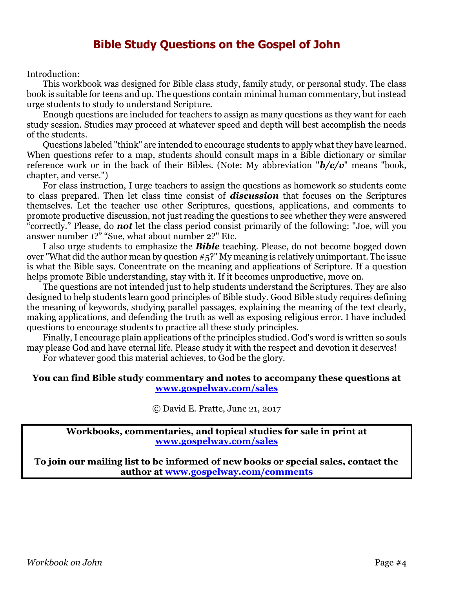### **Bible Study Questions on the Gospel of John**

Introduction:

This workbook was designed for Bible class study, family study, or personal study. The class book is suitable for teens and up. The questions contain minimal human commentary, but instead urge students to study to understand Scripture.

Enough questions are included for teachers to assign as many questions as they want for each study session. Studies may proceed at whatever speed and depth will best accomplish the needs of the students.

Questions labeled "think" are intended to encourage students to apply what they have learned. When questions refer to a map, students should consult maps in a Bible dictionary or similar reference work or in the back of their Bibles. (Note: My abbreviation "*b/c/v*" means "book, chapter, and verse.")

For class instruction, I urge teachers to assign the questions as homework so students come to class prepared. Then let class time consist of *discussion* that focuses on the Scriptures themselves. Let the teacher use other Scriptures, questions, applications, and comments to promote productive discussion, not just reading the questions to see whether they were answered "correctly." Please, do *not* let the class period consist primarily of the following: "Joe, will you answer number 1?" "Sue, what about number 2?" Etc.

I also urge students to emphasize the *Bible* teaching. Please, do not become bogged down over "What did the author mean by question #5?" My meaning is relatively unimportant. The issue is what the Bible says. Concentrate on the meaning and applications of Scripture. If a question helps promote Bible understanding, stay with it. If it becomes unproductive, move on.

The questions are not intended just to help students understand the Scriptures. They are also designed to help students learn good principles of Bible study. Good Bible study requires defining the meaning of keywords, studying parallel passages, explaining the meaning of the text clearly, making applications, and defending the truth as well as exposing religious error. I have included questions to encourage students to practice all these study principles.

Finally, I encourage plain applications of the principles studied. God's word is written so souls may please God and have eternal life. Please study it with the respect and devotion it deserves!

For whatever good this material achieves, to God be the glory.

#### **You can find Bible study commentary and notes to accompany these questions at [www.gospelway.com/sales](https://www.gospelway.com/sales)**

© David E. Pratte, June 21, 2017

**Workbooks, commentaries, and topical studies for sale in print at [www.gospelway.com/sales](https://www.gospelway.com/sales)**

**To join our mailing list to be informed of new books or special sales, contact the author at [www.gospelway.com/comments](http://www.gospelway.com/comments)**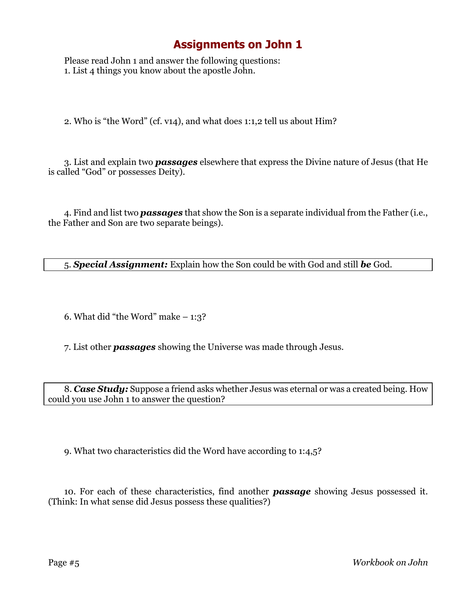# **Assignments on John 1**

Please read John 1 and answer the following questions: 1. List 4 things you know about the apostle John.

2. Who is "the Word" (cf. v14), and what does 1:1,2 tell us about Him?

3. List and explain two *passages* elsewhere that express the Divine nature of Jesus (that He is called "God" or possesses Deity).

4. Find and list two *passages* that show the Son is a separate individual from the Father (i.e., the Father and Son are two separate beings).

5. *Special Assignment:* Explain how the Son could be with God and still *be* God.

6. What did "the Word" make  $-1:3$ ?

7. List other *passages* showing the Universe was made through Jesus.

8. *Case Study:* Suppose a friend asks whether Jesus was eternal or was a created being. How could you use John 1 to answer the question?

9. What two characteristics did the Word have according to 1:4,5?

10. For each of these characteristics, find another *passage* showing Jesus possessed it. (Think: In what sense did Jesus possess these qualities?)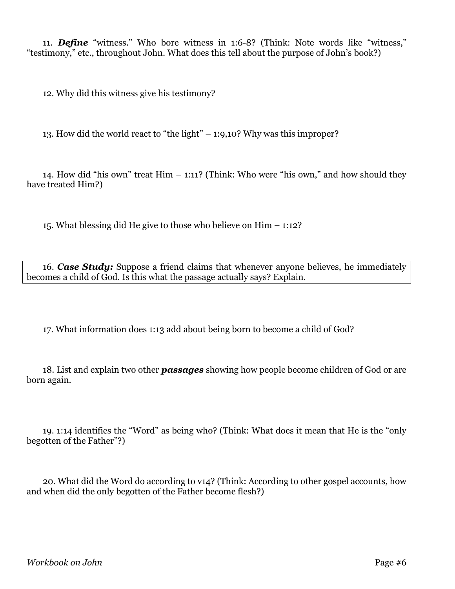11. *Define* "witness." Who bore witness in 1:6-8? (Think: Note words like "witness," "testimony," etc., throughout John. What does this tell about the purpose of John's book?)

12. Why did this witness give his testimony?

13. How did the world react to "the light" – 1:9,10? Why was this improper?

14. How did "his own" treat Him – 1:11? (Think: Who were "his own," and how should they have treated Him?)

15. What blessing did He give to those who believe on Him – 1:12?

16. *Case Study:* Suppose a friend claims that whenever anyone believes, he immediately becomes a child of God. Is this what the passage actually says? Explain.

17. What information does 1:13 add about being born to become a child of God?

18. List and explain two other *passages* showing how people become children of God or are born again.

19. 1:14 identifies the "Word" as being who? (Think: What does it mean that He is the "only begotten of the Father"?)

20. What did the Word do according to v14? (Think: According to other gospel accounts, how and when did the only begotten of the Father become flesh?)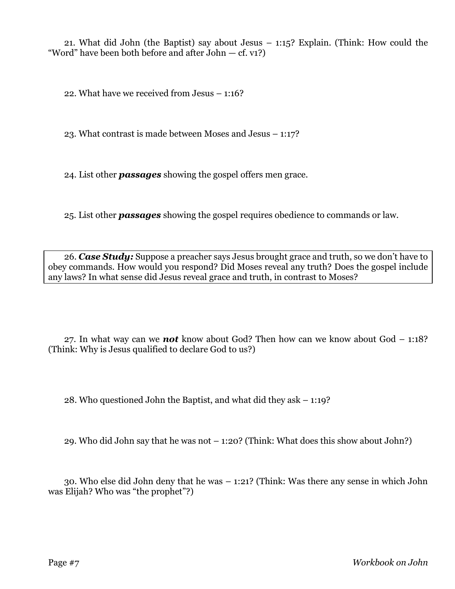21. What did John (the Baptist) say about Jesus – 1:15? Explain. (Think: How could the "Word" have been both before and after John  $-$  cf. v1?)

22. What have we received from Jesus – 1:16?

23. What contrast is made between Moses and Jesus – 1:17?

24. List other *passages* showing the gospel offers men grace.

25. List other *passages* showing the gospel requires obedience to commands or law.

26. *Case Study:* Suppose a preacher says Jesus brought grace and truth, so we don't have to obey commands. How would you respond? Did Moses reveal any truth? Does the gospel include any laws? In what sense did Jesus reveal grace and truth, in contrast to Moses?

27. In what way can we *not* know about God? Then how can we know about God – 1:18? (Think: Why is Jesus qualified to declare God to us?)

28. Who questioned John the Baptist, and what did they ask – 1:19?

29. Who did John say that he was not – 1:20? (Think: What does this show about John?)

30. Who else did John deny that he was – 1:21? (Think: Was there any sense in which John was Elijah? Who was "the prophet"?)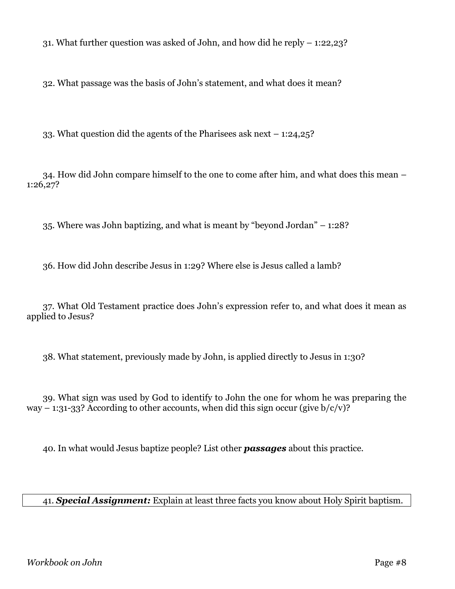31. What further question was asked of John, and how did he reply – 1:22,23?

32. What passage was the basis of John's statement, and what does it mean?

33. What question did the agents of the Pharisees ask next – 1:24,25?

34. How did John compare himself to the one to come after him, and what does this mean – 1:26,27?

35. Where was John baptizing, and what is meant by "beyond Jordan" – 1:28?

36. How did John describe Jesus in 1:29? Where else is Jesus called a lamb?

37. What Old Testament practice does John's expression refer to, and what does it mean as applied to Jesus?

38. What statement, previously made by John, is applied directly to Jesus in 1:30?

39. What sign was used by God to identify to John the one for whom he was preparing the way – 1:31-33? According to other accounts, when did this sign occur (give  $b/c/v$ )?

40. In what would Jesus baptize people? List other *passages* about this practice.

41. *Special Assignment:* Explain at least three facts you know about Holy Spirit baptism.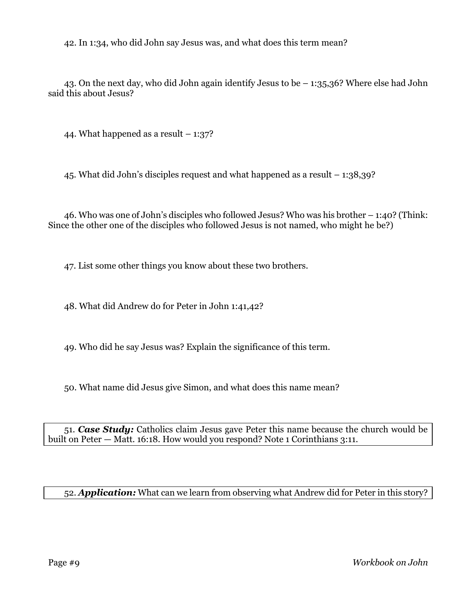42. In 1:34, who did John say Jesus was, and what does this term mean?

43. On the next day, who did John again identify Jesus to be – 1:35,36? Where else had John said this about Jesus?

44. What happened as a result  $-1:37$ ?

45. What did John's disciples request and what happened as a result – 1:38,39?

46. Who was one of John's disciples who followed Jesus? Who was his brother – 1:40? (Think: Since the other one of the disciples who followed Jesus is not named, who might he be?)

47. List some other things you know about these two brothers.

48. What did Andrew do for Peter in John 1:41,42?

49. Who did he say Jesus was? Explain the significance of this term.

50. What name did Jesus give Simon, and what does this name mean?

51. *Case Study:* Catholics claim Jesus gave Peter this name because the church would be built on Peter — Matt. 16:18. How would you respond? Note 1 Corinthians 3:11.

#### 52. *Application:* What can we learn from observing what Andrew did for Peter in this story?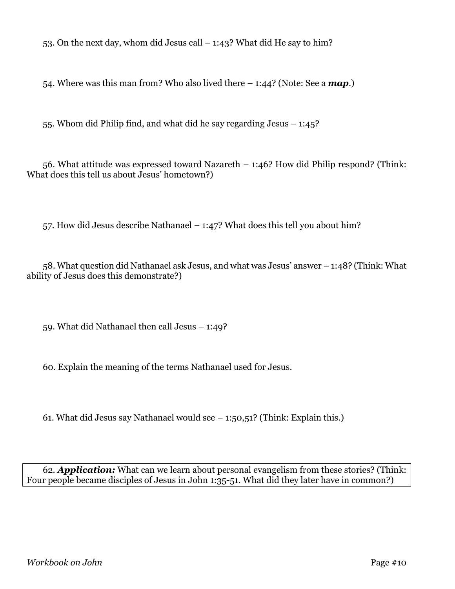53. On the next day, whom did Jesus call  $-1:43$ ? What did He say to him?

54. Where was this man from? Who also lived there – 1:44? (Note: See a *map*.)

55. Whom did Philip find, and what did he say regarding Jesus – 1:45?

56. What attitude was expressed toward Nazareth – 1:46? How did Philip respond? (Think: What does this tell us about Jesus' hometown?)

57. How did Jesus describe Nathanael – 1:47? What does this tell you about him?

58. What question did Nathanael ask Jesus, and what was Jesus' answer – 1:48? (Think: What ability of Jesus does this demonstrate?)

59. What did Nathanael then call Jesus – 1:49?

60. Explain the meaning of the terms Nathanael used for Jesus.

61. What did Jesus say Nathanael would see – 1:50,51? (Think: Explain this.)

62. *Application:* What can we learn about personal evangelism from these stories? (Think: Four people became disciples of Jesus in John 1:35-51. What did they later have in common?)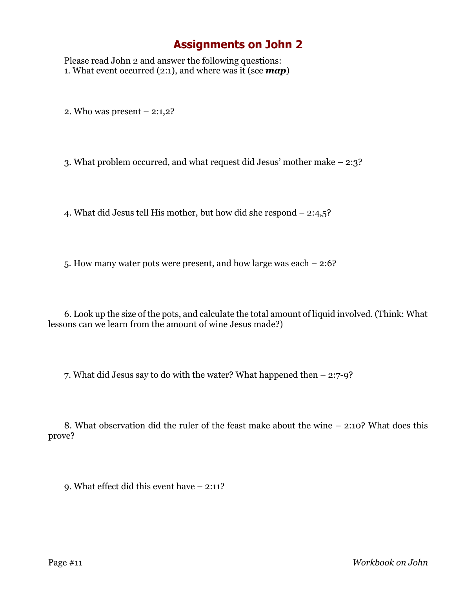### **Assignments on John 2**

Please read John 2 and answer the following questions: 1. What event occurred (2:1), and where was it (see *map*)

2. Who was present – 2:1,2?

3. What problem occurred, and what request did Jesus' mother make – 2:3?

4. What did Jesus tell His mother, but how did she respond – 2:4,5?

5. How many water pots were present, and how large was each – 2:6?

6. Look up the size of the pots, and calculate the total amount of liquid involved. (Think: What lessons can we learn from the amount of wine Jesus made?)

7. What did Jesus say to do with the water? What happened then – 2:7-9?

8. What observation did the ruler of the feast make about the wine – 2:10? What does this prove?

9. What effect did this event have – 2:11?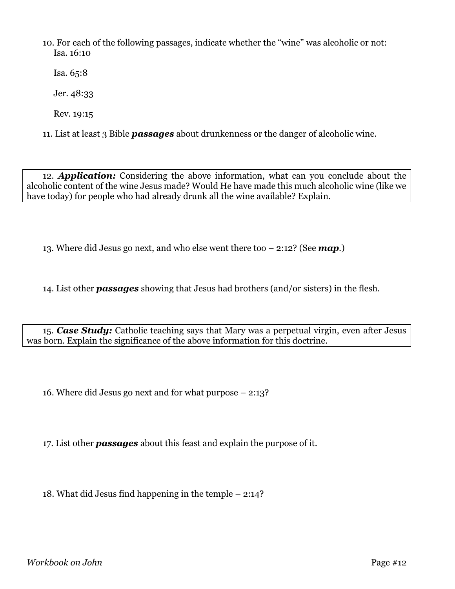10. For each of the following passages, indicate whether the "wine" was alcoholic or not: Isa. 16:10

Isa. 65:8

Jer. 48:33

Rev. 19:15

11. List at least 3 Bible *passages* about drunkenness or the danger of alcoholic wine.

12. *Application:* Considering the above information, what can you conclude about the alcoholic content of the wine Jesus made? Would He have made this much alcoholic wine (like we have today) for people who had already drunk all the wine available? Explain.

13. Where did Jesus go next, and who else went there too – 2:12? (See *map*.)

14. List other *passages* showing that Jesus had brothers (and/or sisters) in the flesh.

15. *Case Study:* Catholic teaching says that Mary was a perpetual virgin, even after Jesus was born. Explain the significance of the above information for this doctrine.

16. Where did Jesus go next and for what purpose – 2:13?

17. List other *passages* about this feast and explain the purpose of it.

18. What did Jesus find happening in the temple – 2:14?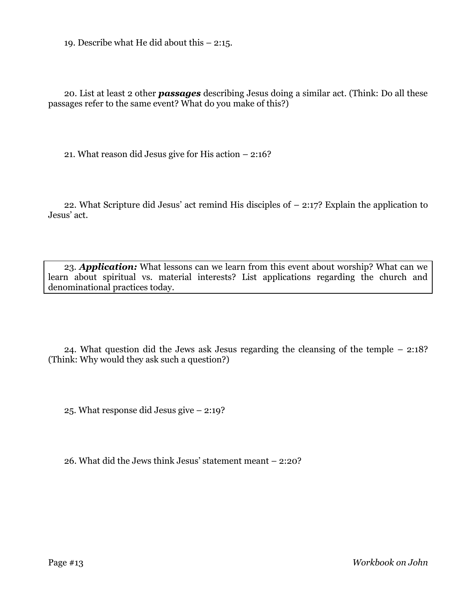19. Describe what He did about this – 2:15.

20. List at least 2 other *passages* describing Jesus doing a similar act. (Think: Do all these passages refer to the same event? What do you make of this?)

21. What reason did Jesus give for His action – 2:16?

22. What Scripture did Jesus' act remind His disciples of – 2:17? Explain the application to Jesus' act.

23. *Application:* What lessons can we learn from this event about worship? What can we learn about spiritual vs. material interests? List applications regarding the church and denominational practices today.

24. What question did the Jews ask Jesus regarding the cleansing of the temple – 2:18? (Think: Why would they ask such a question?)

25. What response did Jesus give – 2:19?

26. What did the Jews think Jesus' statement meant – 2:20?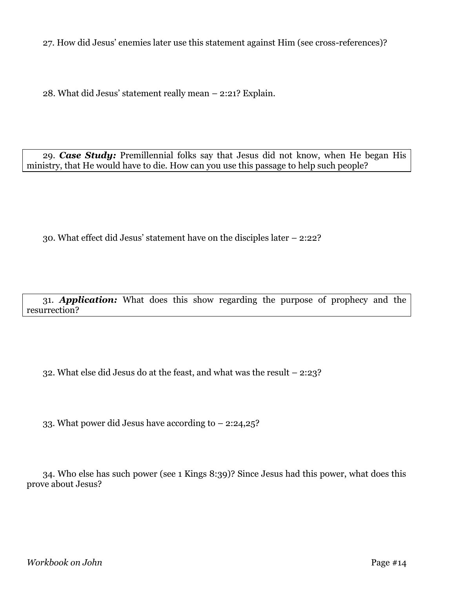27. How did Jesus' enemies later use this statement against Him (see cross-references)?

28. What did Jesus' statement really mean – 2:21? Explain.

29. *Case Study:* Premillennial folks say that Jesus did not know, when He began His ministry, that He would have to die. How can you use this passage to help such people?

30. What effect did Jesus' statement have on the disciples later – 2:22?

31. *Application:* What does this show regarding the purpose of prophecy and the resurrection?

32. What else did Jesus do at the feast, and what was the result – 2:23?

33. What power did Jesus have according to – 2:24,25?

34. Who else has such power (see 1 Kings 8:39)? Since Jesus had this power, what does this prove about Jesus?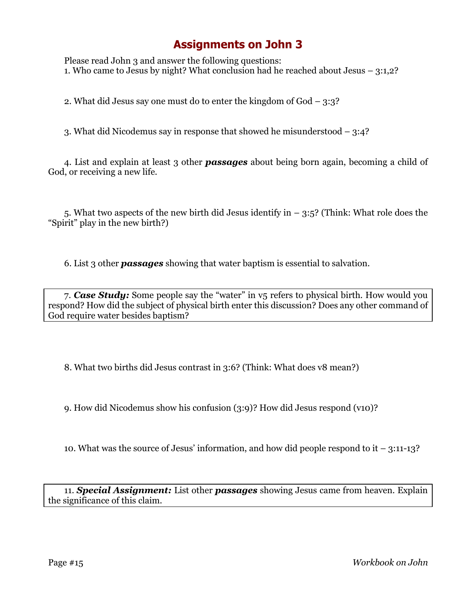# **Assignments on John 3**

Please read John 3 and answer the following questions: 1. Who came to Jesus by night? What conclusion had he reached about Jesus – 3:1,2?

2. What did Jesus say one must do to enter the kingdom of God – 3:3?

3. What did Nicodemus say in response that showed he misunderstood – 3:4?

4. List and explain at least 3 other *passages* about being born again, becoming a child of God, or receiving a new life.

5. What two aspects of the new birth did Jesus identify in  $-$  3:5? (Think: What role does the "Spirit" play in the new birth?)

6. List 3 other *passages* showing that water baptism is essential to salvation.

7. *Case Study:* Some people say the "water" in v5 refers to physical birth. How would you respond? How did the subject of physical birth enter this discussion? Does any other command of God require water besides baptism?

8. What two births did Jesus contrast in 3:6? (Think: What does v8 mean?)

9. How did Nicodemus show his confusion (3:9)? How did Jesus respond (v10)?

10. What was the source of Jesus' information, and how did people respond to it – 3:11-13?

11. *Special Assignment:* List other *passages* showing Jesus came from heaven. Explain the significance of this claim.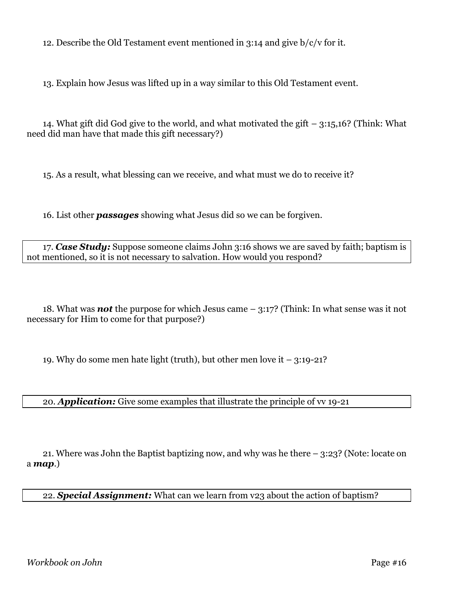12. Describe the Old Testament event mentioned in 3:14 and give b/c/v for it.

13. Explain how Jesus was lifted up in a way similar to this Old Testament event.

14. What gift did God give to the world, and what motivated the gift – 3:15,16? (Think: What need did man have that made this gift necessary?)

15. As a result, what blessing can we receive, and what must we do to receive it?

16. List other *passages* showing what Jesus did so we can be forgiven.

17. *Case Study:* Suppose someone claims John 3:16 shows we are saved by faith; baptism is not mentioned, so it is not necessary to salvation. How would you respond?

18. What was *not* the purpose for which Jesus came – 3:17? (Think: In what sense was it not necessary for Him to come for that purpose?)

19. Why do some men hate light (truth), but other men love it  $-3:19-21$ ?

20. *Application:* Give some examples that illustrate the principle of vv 19-21

21. Where was John the Baptist baptizing now, and why was he there – 3:23? (Note: locate on a *map*.)

22. *Special Assignment:* What can we learn from v23 about the action of baptism?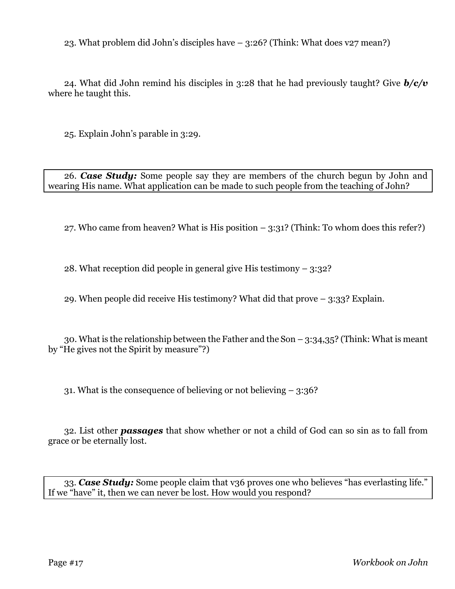23. What problem did John's disciples have – 3:26? (Think: What does v27 mean?)

24. What did John remind his disciples in 3:28 that he had previously taught? Give *b/c/v* where he taught this.

25. Explain John's parable in 3:29.

26. *Case Study:* Some people say they are members of the church begun by John and wearing His name. What application can be made to such people from the teaching of John?

27. Who came from heaven? What is His position  $-$  3:31? (Think: To whom does this refer?)

28. What reception did people in general give His testimony – 3:32?

29. When people did receive His testimony? What did that prove – 3:33? Explain.

30. What is the relationship between the Father and the Son  $-$  3:34,35? (Think: What is meant by "He gives not the Spirit by measure"?)

31. What is the consequence of believing or not believing – 3:36?

32. List other *passages* that show whether or not a child of God can so sin as to fall from grace or be eternally lost.

33. *Case Study:* Some people claim that v36 proves one who believes "has everlasting life." If we "have" it, then we can never be lost. How would you respond?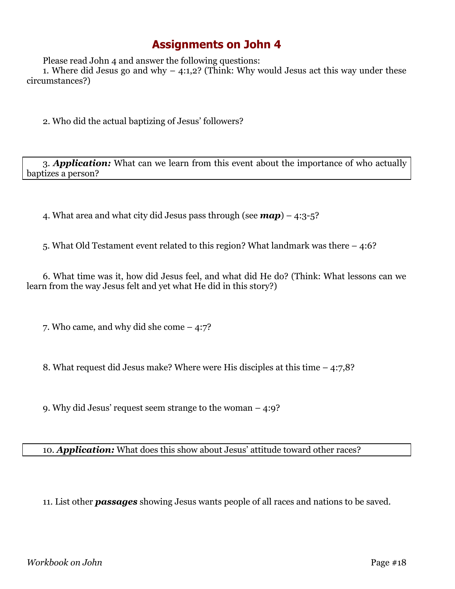### **Assignments on John 4**

Please read John 4 and answer the following questions:

1. Where did Jesus go and why  $-$  4:1,2? (Think: Why would Jesus act this way under these circumstances?)

2. Who did the actual baptizing of Jesus' followers?

3. *Application:* What can we learn from this event about the importance of who actually baptizes a person?

4. What area and what city did Jesus pass through (see *map*) – 4:3-5?

5. What Old Testament event related to this region? What landmark was there – 4:6?

6. What time was it, how did Jesus feel, and what did He do? (Think: What lessons can we learn from the way Jesus felt and yet what He did in this story?)

7. Who came, and why did she come – 4:7?

8. What request did Jesus make? Where were His disciples at this time – 4:7,8?

9. Why did Jesus' request seem strange to the woman – 4:9?

10. *Application:* What does this show about Jesus' attitude toward other races?

11. List other *passages* showing Jesus wants people of all races and nations to be saved.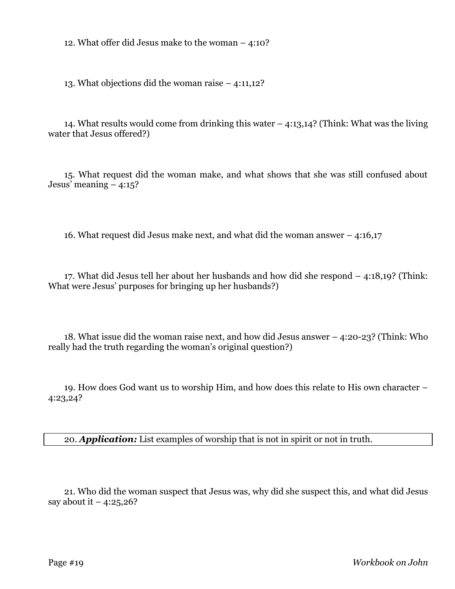12. What offer did Jesus make to the woman – 4:10?

13. What objections did the woman raise – 4:11,12?

14. What results would come from drinking this water – 4:13,14? (Think: What was the living water that Jesus offered?)

15. What request did the woman make, and what shows that she was still confused about Jesus' meaning  $-4:15$ ?

16. What request did Jesus make next, and what did the woman answer – 4:16,17

17. What did Jesus tell her about her husbands and how did she respond – 4:18,19? (Think: What were Jesus' purposes for bringing up her husbands?)

18. What issue did the woman raise next, and how did Jesus answer – 4:20-23? (Think: Who really had the truth regarding the woman's original question?)

19. How does God want us to worship Him, and how does this relate to His own character – 4:23,24?

20. *Application:* List examples of worship that is not in spirit or not in truth.

21. Who did the woman suspect that Jesus was, why did she suspect this, and what did Jesus say about it  $-4:25,26?$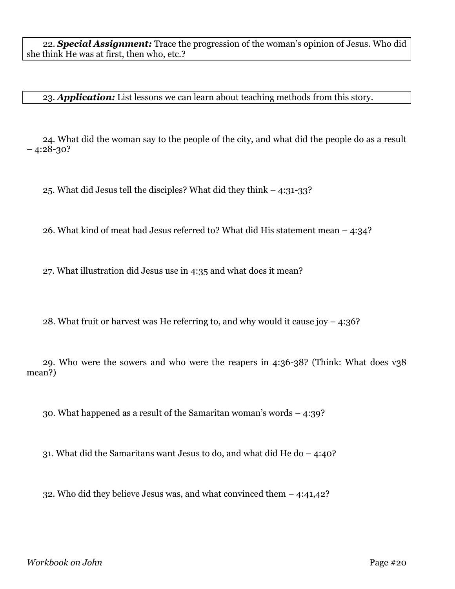22. *Special Assignment:* Trace the progression of the woman's opinion of Jesus. Who did she think He was at first, then who, etc.?

23. *Application:* List lessons we can learn about teaching methods from this story.

24. What did the woman say to the people of the city, and what did the people do as a result  $-4:28-30?$ 

25. What did Jesus tell the disciples? What did they think – 4:31-33?

26. What kind of meat had Jesus referred to? What did His statement mean – 4:34?

27. What illustration did Jesus use in 4:35 and what does it mean?

28. What fruit or harvest was He referring to, and why would it cause joy  $-4:36$ ?

29. Who were the sowers and who were the reapers in 4:36-38? (Think: What does v38 mean?)

30. What happened as a result of the Samaritan woman's words – 4:39?

31. What did the Samaritans want Jesus to do, and what did He do – 4:40?

32. Who did they believe Jesus was, and what convinced them – 4:41,42?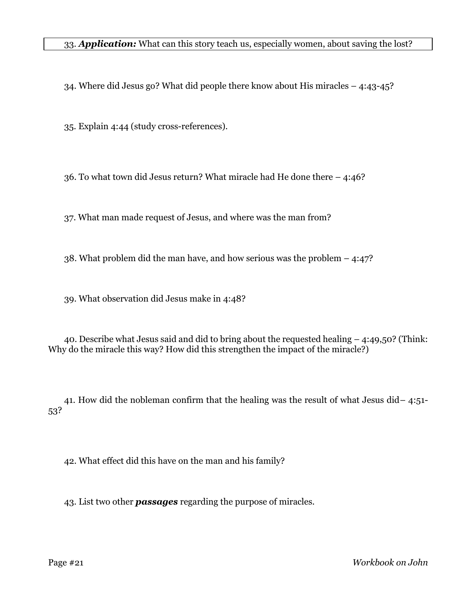34. Where did Jesus go? What did people there know about His miracles – 4:43-45?

35. Explain 4:44 (study cross-references).

36. To what town did Jesus return? What miracle had He done there – 4:46?

37. What man made request of Jesus, and where was the man from?

38. What problem did the man have, and how serious was the problem – 4:47?

39. What observation did Jesus make in 4:48?

40. Describe what Jesus said and did to bring about the requested healing – 4:49,50? (Think: Why do the miracle this way? How did this strengthen the impact of the miracle?)

41. How did the nobleman confirm that the healing was the result of what Jesus did– 4:51- 53?

42. What effect did this have on the man and his family?

43. List two other *passages* regarding the purpose of miracles.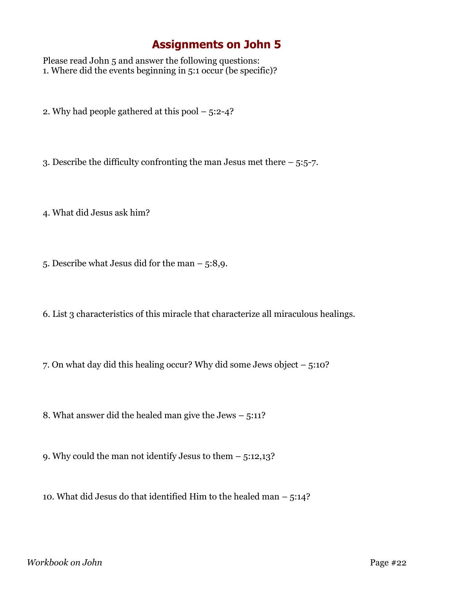# **Assignments on John 5**

Please read John 5 and answer the following questions: 1. Where did the events beginning in 5:1 occur (be specific)?

2. Why had people gathered at this pool – 5:2-4?

3. Describe the difficulty confronting the man Jesus met there – 5:5-7.

4. What did Jesus ask him?

5. Describe what Jesus did for the man – 5:8,9.

6. List 3 characteristics of this miracle that characterize all miraculous healings.

7. On what day did this healing occur? Why did some Jews object – 5:10?

8. What answer did the healed man give the Jews – 5:11?

9. Why could the man not identify Jesus to them – 5:12,13?

10. What did Jesus do that identified Him to the healed man – 5:14?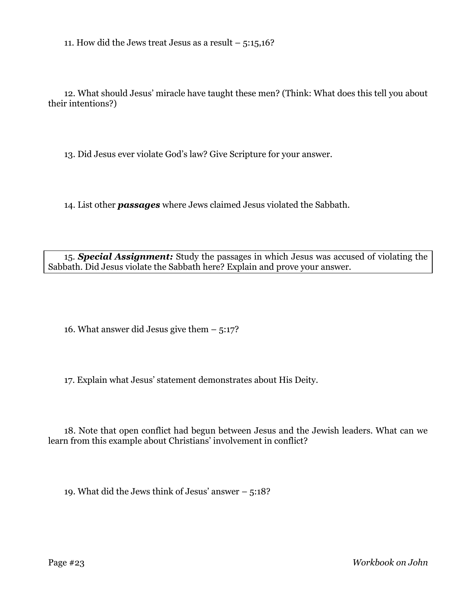11. How did the Jews treat Jesus as a result  $-5:15,16$ ?

12. What should Jesus' miracle have taught these men? (Think: What does this tell you about their intentions?)

13. Did Jesus ever violate God's law? Give Scripture for your answer.

14. List other *passages* where Jews claimed Jesus violated the Sabbath.

15. *Special Assignment:* Study the passages in which Jesus was accused of violating the Sabbath. Did Jesus violate the Sabbath here? Explain and prove your answer.

16. What answer did Jesus give them – 5:17?

17. Explain what Jesus' statement demonstrates about His Deity.

18. Note that open conflict had begun between Jesus and the Jewish leaders. What can we learn from this example about Christians' involvement in conflict?

19. What did the Jews think of Jesus' answer – 5:18?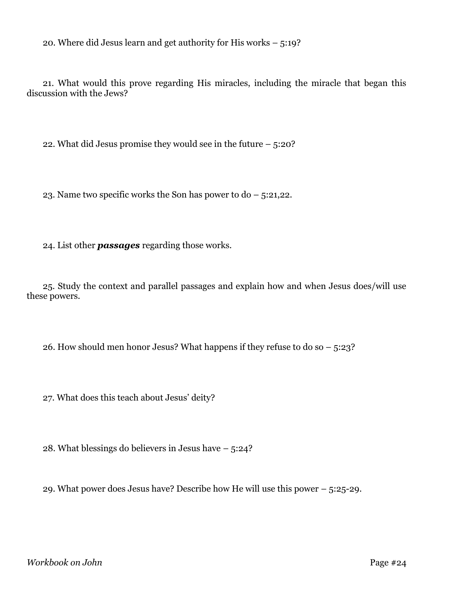20. Where did Jesus learn and get authority for His works – 5:19?

21. What would this prove regarding His miracles, including the miracle that began this discussion with the Jews?

22. What did Jesus promise they would see in the future – 5:20?

23. Name two specific works the Son has power to do – 5:21,22.

24. List other *passages* regarding those works.

25. Study the context and parallel passages and explain how and when Jesus does/will use these powers.

26. How should men honor Jesus? What happens if they refuse to do so – 5:23?

27. What does this teach about Jesus' deity?

28. What blessings do believers in Jesus have – 5:24?

29. What power does Jesus have? Describe how He will use this power – 5:25-29.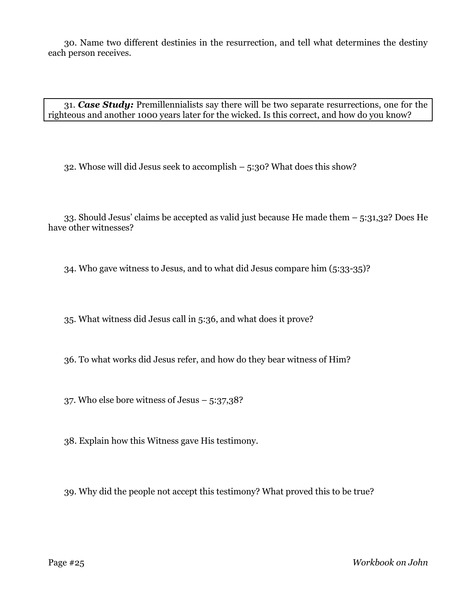30. Name two different destinies in the resurrection, and tell what determines the destiny each person receives.

31. *Case Study:* Premillennialists say there will be two separate resurrections, one for the righteous and another 1000 years later for the wicked. Is this correct, and how do you know?

32. Whose will did Jesus seek to accomplish – 5:30? What does this show?

33. Should Jesus' claims be accepted as valid just because He made them – 5:31,32? Does He have other witnesses?

34. Who gave witness to Jesus, and to what did Jesus compare him (5:33-35)?

35. What witness did Jesus call in 5:36, and what does it prove?

36. To what works did Jesus refer, and how do they bear witness of Him?

37. Who else bore witness of Jesus – 5:37,38?

38. Explain how this Witness gave His testimony.

39. Why did the people not accept this testimony? What proved this to be true?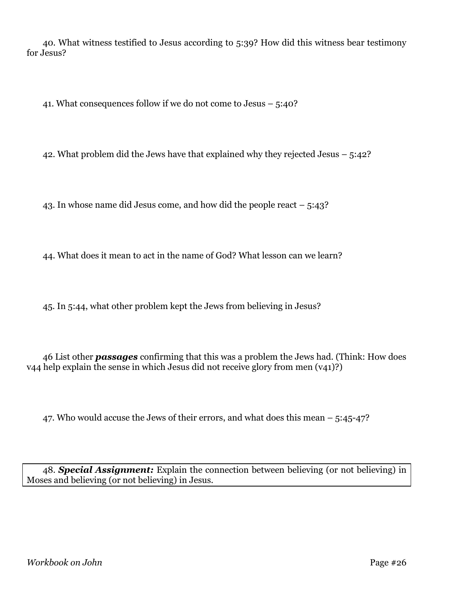40. What witness testified to Jesus according to 5:39? How did this witness bear testimony for Jesus?

41. What consequences follow if we do not come to Jesus – 5:40?

42. What problem did the Jews have that explained why they rejected Jesus – 5:42?

43. In whose name did Jesus come, and how did the people react – 5:43?

44. What does it mean to act in the name of God? What lesson can we learn?

45. In 5:44, what other problem kept the Jews from believing in Jesus?

46 List other *passages* confirming that this was a problem the Jews had. (Think: How does v44 help explain the sense in which Jesus did not receive glory from men (v41)?)

47. Who would accuse the Jews of their errors, and what does this mean – 5:45-47?

48. *Special Assignment:* Explain the connection between believing (or not believing) in Moses and believing (or not believing) in Jesus.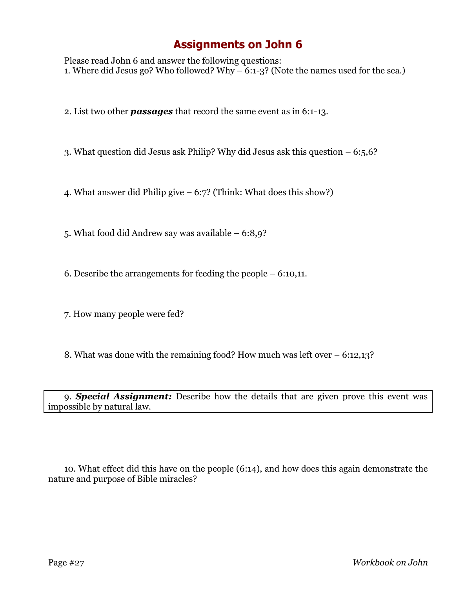### **Assignments on John 6**

Please read John 6 and answer the following questions: 1. Where did Jesus go? Who followed? Why  $-6:1-3$ ? (Note the names used for the sea.)

2. List two other *passages* that record the same event as in 6:1-13.

3. What question did Jesus ask Philip? Why did Jesus ask this question – 6:5,6?

4. What answer did Philip give – 6:7? (Think: What does this show?)

5. What food did Andrew say was available – 6:8,9?

6. Describe the arrangements for feeding the people – 6:10,11.

7. How many people were fed?

8. What was done with the remaining food? How much was left over – 6:12,13?

9. *Special Assignment:* Describe how the details that are given prove this event was impossible by natural law.

10. What effect did this have on the people (6:14), and how does this again demonstrate the nature and purpose of Bible miracles?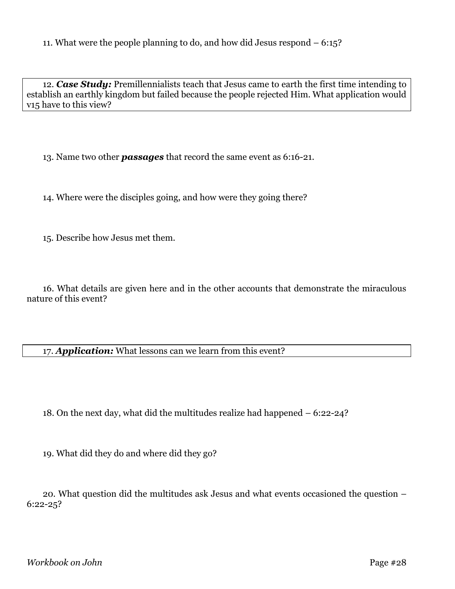12. *Case Study:* Premillennialists teach that Jesus came to earth the first time intending to establish an earthly kingdom but failed because the people rejected Him. What application would v15 have to this view?

13. Name two other *passages* that record the same event as 6:16-21.

14. Where were the disciples going, and how were they going there?

15. Describe how Jesus met them.

16. What details are given here and in the other accounts that demonstrate the miraculous nature of this event?

17. *Application:* What lessons can we learn from this event?

18. On the next day, what did the multitudes realize had happened – 6:22-24?

19. What did they do and where did they go?

20. What question did the multitudes ask Jesus and what events occasioned the question – 6:22-25?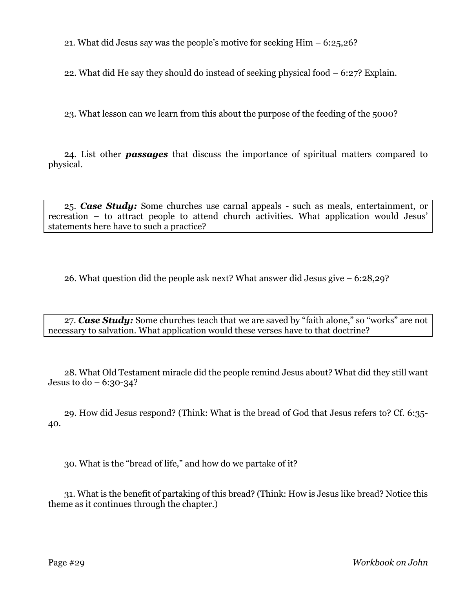21. What did Jesus say was the people's motive for seeking Him – 6:25,26?

22. What did He say they should do instead of seeking physical food – 6:27? Explain.

23. What lesson can we learn from this about the purpose of the feeding of the 5000?

24. List other *passages* that discuss the importance of spiritual matters compared to physical.

25. *Case Study:* Some churches use carnal appeals - such as meals, entertainment, or recreation – to attract people to attend church activities. What application would Jesus' statements here have to such a practice?

26. What question did the people ask next? What answer did Jesus give – 6:28,29?

27. *Case Study:* Some churches teach that we are saved by "faith alone," so "works" are not necessary to salvation. What application would these verses have to that doctrine?

28. What Old Testament miracle did the people remind Jesus about? What did they still want Jesus to do  $-6:30-34$ ?

29. How did Jesus respond? (Think: What is the bread of God that Jesus refers to? Cf. 6:35- 40.

30. What is the "bread of life," and how do we partake of it?

31. What is the benefit of partaking of this bread? (Think: How is Jesus like bread? Notice this theme as it continues through the chapter.)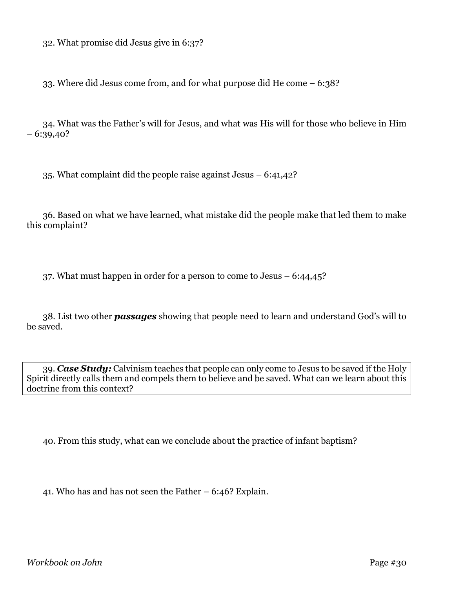32. What promise did Jesus give in 6:37?

33. Where did Jesus come from, and for what purpose did He come – 6:38?

34. What was the Father's will for Jesus, and what was His will for those who believe in Him  $-6:39,40?$ 

35. What complaint did the people raise against Jesus – 6:41,42?

36. Based on what we have learned, what mistake did the people make that led them to make this complaint?

37. What must happen in order for a person to come to Jesus – 6:44,45?

38. List two other *passages* showing that people need to learn and understand God's will to be saved.

39. *Case Study:* Calvinism teaches that people can only come to Jesus to be saved if the Holy Spirit directly calls them and compels them to believe and be saved. What can we learn about this doctrine from this context?

40. From this study, what can we conclude about the practice of infant baptism?

41. Who has and has not seen the Father – 6:46? Explain.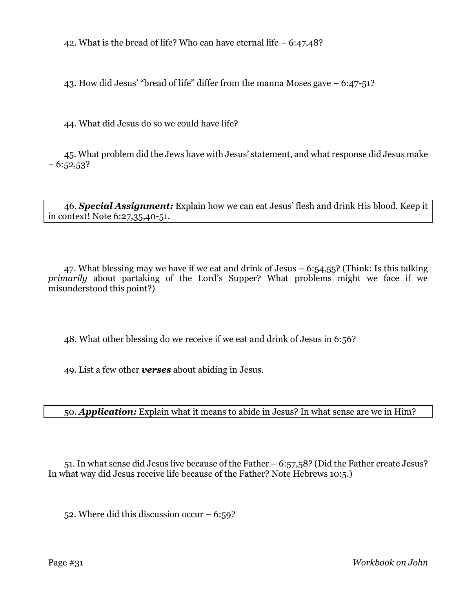42. What is the bread of life? Who can have eternal life – 6:47,48?

43. How did Jesus' "bread of life" differ from the manna Moses gave – 6:47-51?

44. What did Jesus do so we could have life?

45. What problem did the Jews have with Jesus' statement, and what response did Jesus make  $-6:52,53$ ?

46. *Special Assignment:* Explain how we can eat Jesus' flesh and drink His blood. Keep it in context! Note 6:27,35,40-51.

47. What blessing may we have if we eat and drink of Jesus  $-6:54,55$ ? (Think: Is this talking *primarily* about partaking of the Lord's Supper? What problems might we face if we misunderstood this point?)

48. What other blessing do we receive if we eat and drink of Jesus in 6:56?

49. List a few other *verses* about abiding in Jesus.

50. *Application:* Explain what it means to abide in Jesus? In what sense are we in Him?

51. In what sense did Jesus live because of the Father – 6:57,58? (Did the Father create Jesus? In what way did Jesus receive life because of the Father? Note Hebrews 10:5.)

52. Where did this discussion occur  $-6:59$ ?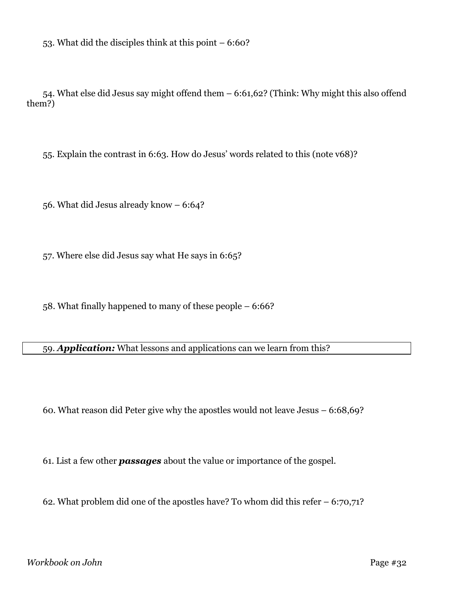53. What did the disciples think at this point – 6:60?

54. What else did Jesus say might offend them – 6:61,62? (Think: Why might this also offend them?)

55. Explain the contrast in 6:63. How do Jesus' words related to this (note v68)?

56. What did Jesus already know – 6:64?

57. Where else did Jesus say what He says in 6:65?

58. What finally happened to many of these people – 6:66?

59. *Application:* What lessons and applications can we learn from this?

60. What reason did Peter give why the apostles would not leave Jesus – 6:68,69?

61. List a few other *passages* about the value or importance of the gospel.

62. What problem did one of the apostles have? To whom did this refer – 6:70,71?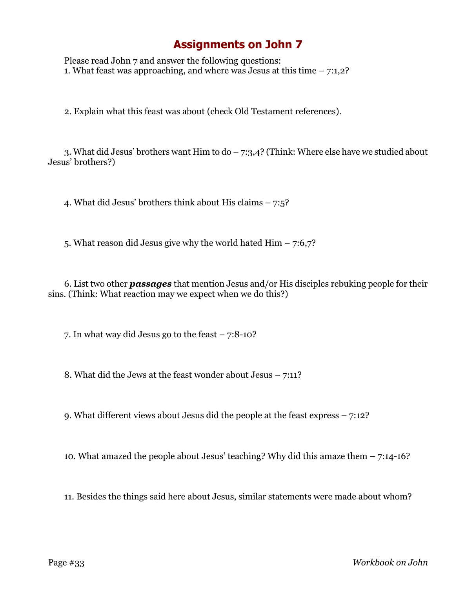# **Assignments on John 7**

Please read John 7 and answer the following questions: 1. What feast was approaching, and where was Jesus at this time  $-7:1,2$ ?

2. Explain what this feast was about (check Old Testament references).

3. What did Jesus' brothers want Him to do – 7:3,4? (Think: Where else have we studied about Jesus' brothers?)

4. What did Jesus' brothers think about His claims – 7:5?

5. What reason did Jesus give why the world hated Him – 7:6,7?

6. List two other *passages* that mention Jesus and/or His disciples rebuking people for their sins. (Think: What reaction may we expect when we do this?)

7. In what way did Jesus go to the feast – 7:8-10?

8. What did the Jews at the feast wonder about Jesus – 7:11?

9. What different views about Jesus did the people at the feast express – 7:12?

10. What amazed the people about Jesus' teaching? Why did this amaze them – 7:14-16?

11. Besides the things said here about Jesus, similar statements were made about whom?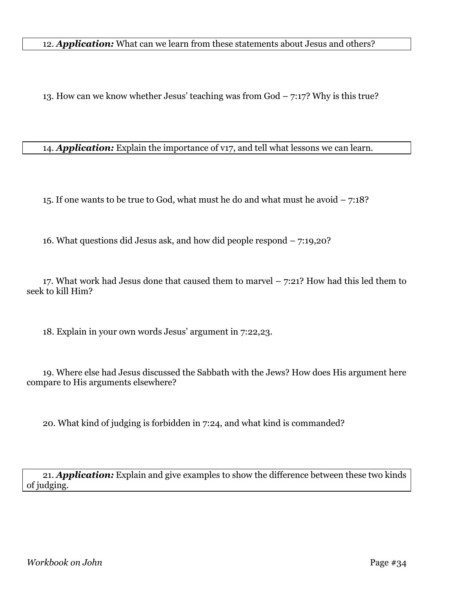12. *Application:* What can we learn from these statements about Jesus and others?

13. How can we know whether Jesus' teaching was from God – 7:17? Why is this true?

14. *Application:* Explain the importance of v17, and tell what lessons we can learn.

15. If one wants to be true to God, what must he do and what must he avoid – 7:18?

16. What questions did Jesus ask, and how did people respond – 7:19,20?

17. What work had Jesus done that caused them to marvel  $-$  7:21? How had this led them to seek to kill Him?

18. Explain in your own words Jesus' argument in 7:22,23.

19. Where else had Jesus discussed the Sabbath with the Jews? How does His argument here compare to His arguments elsewhere?

20. What kind of judging is forbidden in 7:24, and what kind is commanded?

21. *Application:* Explain and give examples to show the difference between these two kinds of judging.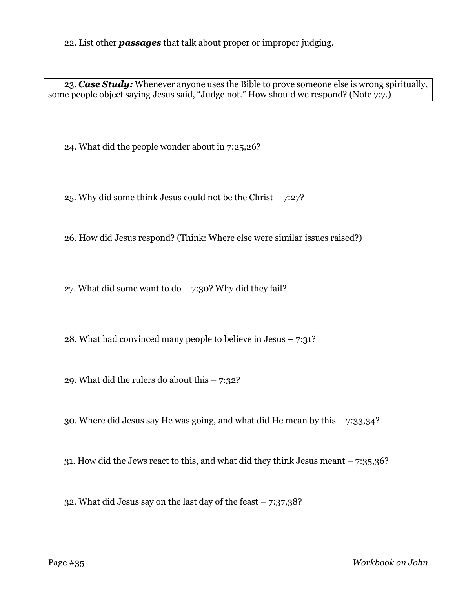22. List other *passages* that talk about proper or improper judging.

23. *Case Study:* Whenever anyone uses the Bible to prove someone else is wrong spiritually, some people object saying Jesus said, "Judge not." How should we respond? (Note 7.7.)

24. What did the people wonder about in 7:25,26?

25. Why did some think Jesus could not be the Christ – 7:27?

26. How did Jesus respond? (Think: Where else were similar issues raised?)

27. What did some want to do  $-7:30$ ? Why did they fail?

28. What had convinced many people to believe in Jesus  $-7:31$ ?

29. What did the rulers do about this  $-7:32?$ 

30. Where did Jesus say He was going, and what did He mean by this – 7:33,34?

31. How did the Jews react to this, and what did they think Jesus meant  $-7:35,36?$ 

32. What did Jesus say on the last day of the feast – 7:37,38?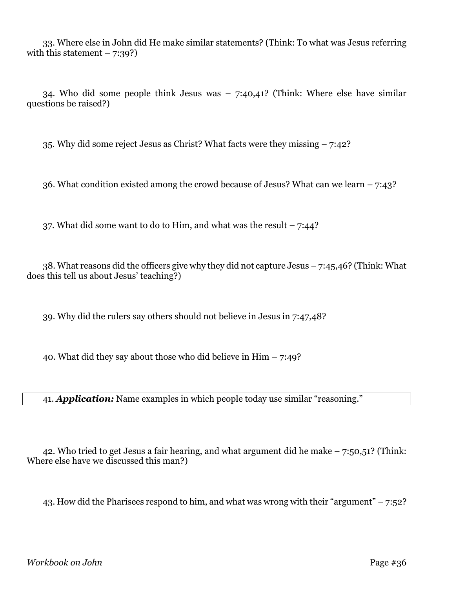33. Where else in John did He make similar statements? (Think: To what was Jesus referring with this statement  $-7:39$ ?

34. Who did some people think Jesus was – 7:40,41? (Think: Where else have similar questions be raised?)

35. Why did some reject Jesus as Christ? What facts were they missing – 7:42?

36. What condition existed among the crowd because of Jesus? What can we learn  $-7:43$ ?

37. What did some want to do to Him, and what was the result  $-7:44$ ?

38. What reasons did the officers give why they did not capture Jesus – 7:45,46? (Think: What does this tell us about Jesus' teaching?)

39. Why did the rulers say others should not believe in Jesus in 7:47,48?

40. What did they say about those who did believe in Him  $-7:49$ ?

41. *Application:* Name examples in which people today use similar "reasoning."

42. Who tried to get Jesus a fair hearing, and what argument did he make – 7:50,51? (Think: Where else have we discussed this man?)

43. How did the Pharisees respond to him, and what was wrong with their "argument" –  $7:52$ ?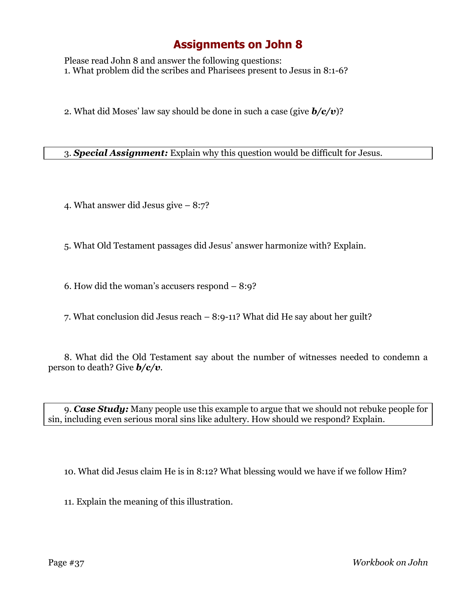Please read John 8 and answer the following questions: 1. What problem did the scribes and Pharisees present to Jesus in 8:1-6?

2. What did Moses' law say should be done in such a case (give *b/c/v*)?

3. *Special Assignment:* Explain why this question would be difficult for Jesus.

4. What answer did Jesus give – 8:7?

5. What Old Testament passages did Jesus' answer harmonize with? Explain.

6. How did the woman's accusers respond – 8:9?

7. What conclusion did Jesus reach – 8:9-11? What did He say about her guilt?

8. What did the Old Testament say about the number of witnesses needed to condemn a person to death? Give *b/c/v*.

9. *Case Study:* Many people use this example to argue that we should not rebuke people for sin, including even serious moral sins like adultery. How should we respond? Explain.

10. What did Jesus claim He is in 8:12? What blessing would we have if we follow Him?

11. Explain the meaning of this illustration.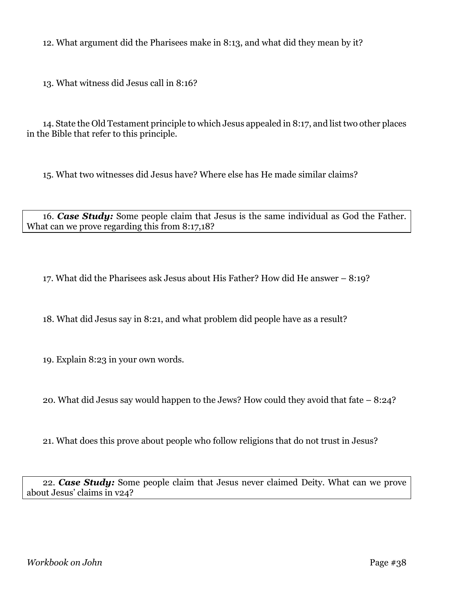12. What argument did the Pharisees make in 8:13, and what did they mean by it?

13. What witness did Jesus call in 8:16?

14. State the Old Testament principle to which Jesus appealed in 8:17, and list two other places in the Bible that refer to this principle.

15. What two witnesses did Jesus have? Where else has He made similar claims?

16. *Case Study:* Some people claim that Jesus is the same individual as God the Father. What can we prove regarding this from 8:17,18?

17. What did the Pharisees ask Jesus about His Father? How did He answer – 8:19?

18. What did Jesus say in 8:21, and what problem did people have as a result?

19. Explain 8:23 in your own words.

20. What did Jesus say would happen to the Jews? How could they avoid that fate – 8:24?

21. What does this prove about people who follow religions that do not trust in Jesus?

22. *Case Study:* Some people claim that Jesus never claimed Deity. What can we prove about Jesus' claims in v24?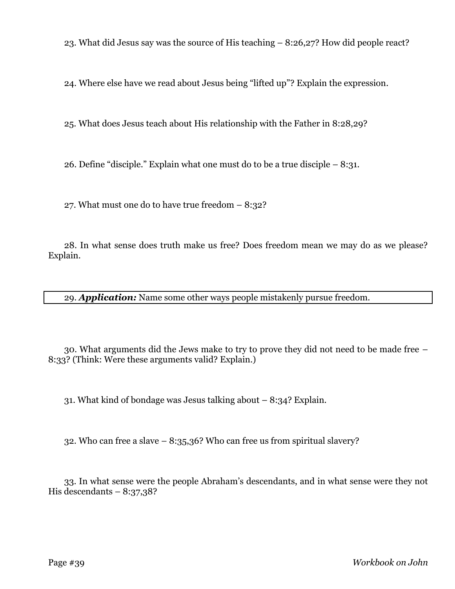23. What did Jesus say was the source of His teaching – 8:26,27? How did people react?

24. Where else have we read about Jesus being "lifted up"? Explain the expression.

25. What does Jesus teach about His relationship with the Father in 8:28,29?

26. Define "disciple." Explain what one must do to be a true disciple  $-8:31$ .

27. What must one do to have true freedom – 8:32?

28. In what sense does truth make us free? Does freedom mean we may do as we please? Explain.

29. *Application:* Name some other ways people mistakenly pursue freedom.

30. What arguments did the Jews make to try to prove they did not need to be made free – 8:33? (Think: Were these arguments valid? Explain.)

31. What kind of bondage was Jesus talking about – 8:34? Explain.

32. Who can free a slave – 8:35,36? Who can free us from spiritual slavery?

33. In what sense were the people Abraham's descendants, and in what sense were they not His descendants  $-8:37,38$ ?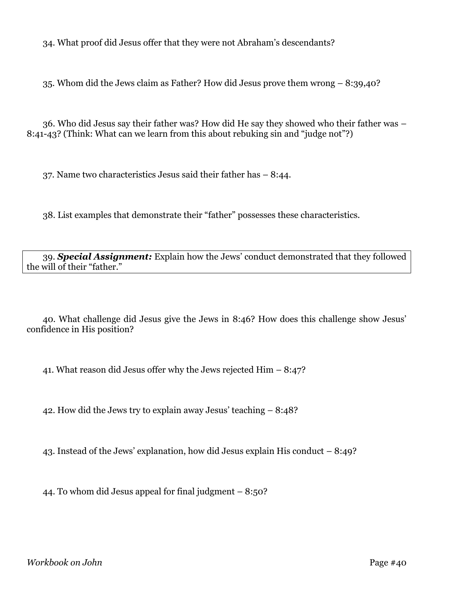34. What proof did Jesus offer that they were not Abraham's descendants?

35. Whom did the Jews claim as Father? How did Jesus prove them wrong – 8:39,40?

36. Who did Jesus say their father was? How did He say they showed who their father was – 8:41-43? (Think: What can we learn from this about rebuking sin and "judge not"?)

37. Name two characteristics Jesus said their father has – 8:44.

38. List examples that demonstrate their "father" possesses these characteristics.

39. *Special Assignment:* Explain how the Jews' conduct demonstrated that they followed the will of their "father."

40. What challenge did Jesus give the Jews in 8:46? How does this challenge show Jesus' confidence in His position?

41. What reason did Jesus offer why the Jews rejected Him – 8:47?

42. How did the Jews try to explain away Jesus' teaching – 8:48?

43. Instead of the Jews' explanation, how did Jesus explain His conduct – 8:49?

44. To whom did Jesus appeal for final judgment – 8:50?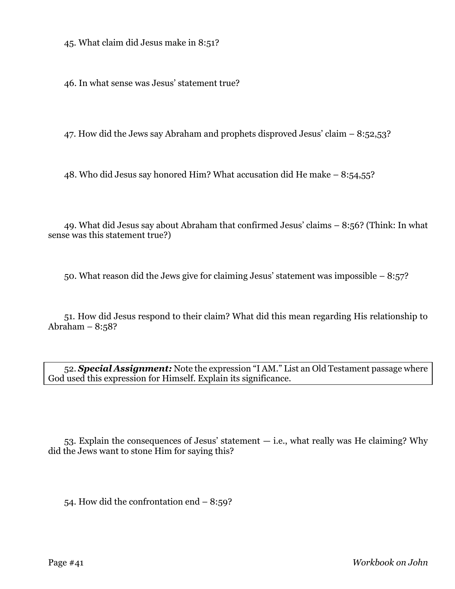45. What claim did Jesus make in 8:51?

46. In what sense was Jesus' statement true?

47. How did the Jews say Abraham and prophets disproved Jesus' claim – 8:52,53?

48. Who did Jesus say honored Him? What accusation did He make – 8:54,55?

49. What did Jesus say about Abraham that confirmed Jesus' claims – 8:56? (Think: In what sense was this statement true?)

50. What reason did the Jews give for claiming Jesus' statement was impossible – 8:57?

51. How did Jesus respond to their claim? What did this mean regarding His relationship to Abraham  $-8:58$ ?

52. *Special Assignment:* Note the expression "I AM." List an Old Testament passage where God used this expression for Himself. Explain its significance.

53. Explain the consequences of Jesus' statement — i.e., what really was He claiming? Why did the Jews want to stone Him for saying this?

54. How did the confrontation end – 8:59?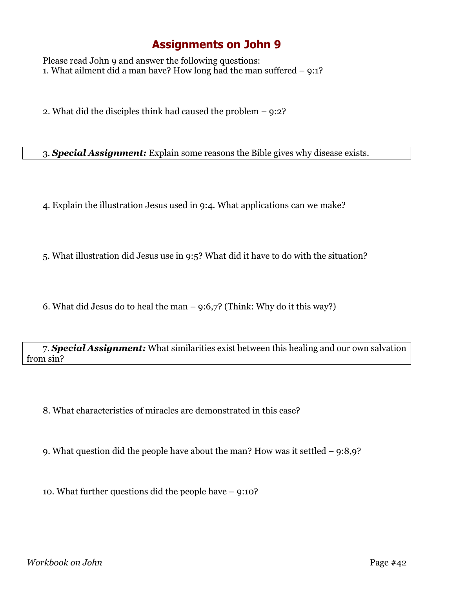Please read John 9 and answer the following questions: 1. What ailment did a man have? How long had the man suffered – 9:1?

2. What did the disciples think had caused the problem – 9:2?

3. *Special Assignment:* Explain some reasons the Bible gives why disease exists.

4. Explain the illustration Jesus used in 9:4. What applications can we make?

5. What illustration did Jesus use in 9:5? What did it have to do with the situation?

6. What did Jesus do to heal the man  $-$  9:6,7? (Think: Why do it this way?)

7. *Special Assignment:* What similarities exist between this healing and our own salvation from sin?

8. What characteristics of miracles are demonstrated in this case?

9. What question did the people have about the man? How was it settled – 9:8,9?

10. What further questions did the people have – 9:10?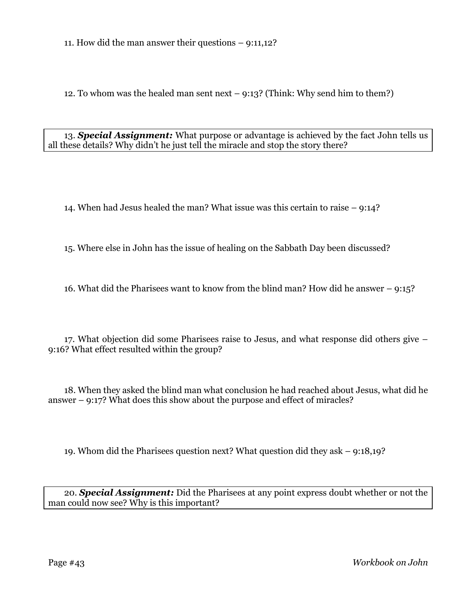11. How did the man answer their questions – 9:11,12?

12. To whom was the healed man sent next – 9:13? (Think: Why send him to them?)

13. *Special Assignment:* What purpose or advantage is achieved by the fact John tells us all these details? Why didn't he just tell the miracle and stop the story there?

14. When had Jesus healed the man? What issue was this certain to raise – 9:14?

15. Where else in John has the issue of healing on the Sabbath Day been discussed?

16. What did the Pharisees want to know from the blind man? How did he answer – 9:15?

17. What objection did some Pharisees raise to Jesus, and what response did others give – 9:16? What effect resulted within the group?

18. When they asked the blind man what conclusion he had reached about Jesus, what did he answer – 9:17? What does this show about the purpose and effect of miracles?

19. Whom did the Pharisees question next? What question did they ask – 9:18,19?

20. *Special Assignment:* Did the Pharisees at any point express doubt whether or not the man could now see? Why is this important?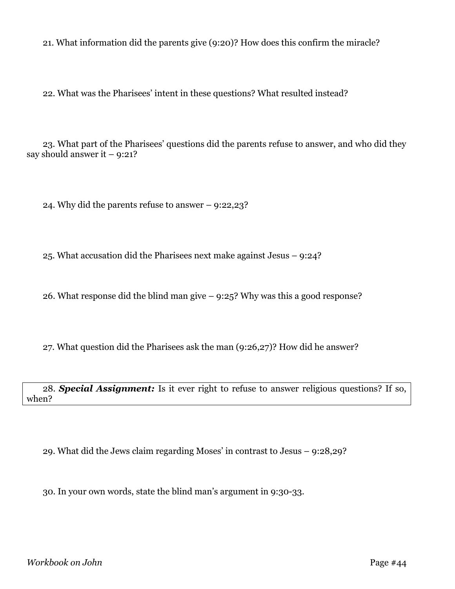21. What information did the parents give (9:20)? How does this confirm the miracle?

22. What was the Pharisees' intent in these questions? What resulted instead?

23. What part of the Pharisees' questions did the parents refuse to answer, and who did they say should answer it  $-9:21$ ?

24. Why did the parents refuse to answer – 9:22,23?

25. What accusation did the Pharisees next make against Jesus – 9:24?

26. What response did the blind man give – 9:25? Why was this a good response?

27. What question did the Pharisees ask the man (9:26,27)? How did he answer?

28. *Special Assignment:* Is it ever right to refuse to answer religious questions? If so, when?

29. What did the Jews claim regarding Moses' in contrast to Jesus – 9:28,29?

30. In your own words, state the blind man's argument in 9:30-33.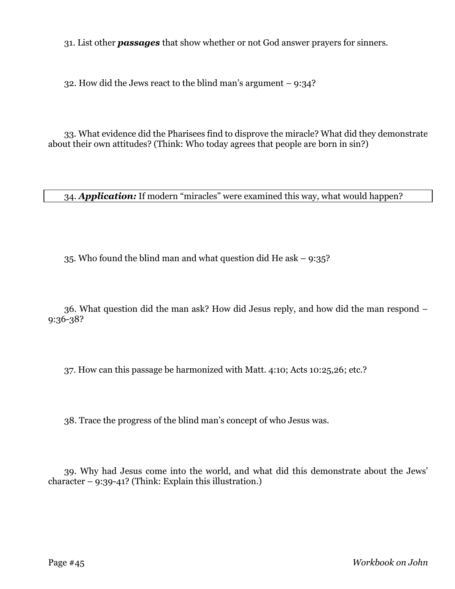31. List other *passages* that show whether or not God answer prayers for sinners.

32. How did the Jews react to the blind man's argument  $-9:34$ ?

33. What evidence did the Pharisees find to disprove the miracle? What did they demonstrate about their own attitudes? (Think: Who today agrees that people are born in sin?)

34. *Application:* If modern "miracles" were examined this way, what would happen?

35. Who found the blind man and what question did He ask  $-$  9:35?

36. What question did the man ask? How did Jesus reply, and how did the man respond – 9:36-38?

37. How can this passage be harmonized with Matt. 4:10; Acts 10:25,26; etc.?

38. Trace the progress of the blind man's concept of who Jesus was.

39. Why had Jesus come into the world, and what did this demonstrate about the Jews' character – 9:39-41? (Think: Explain this illustration.)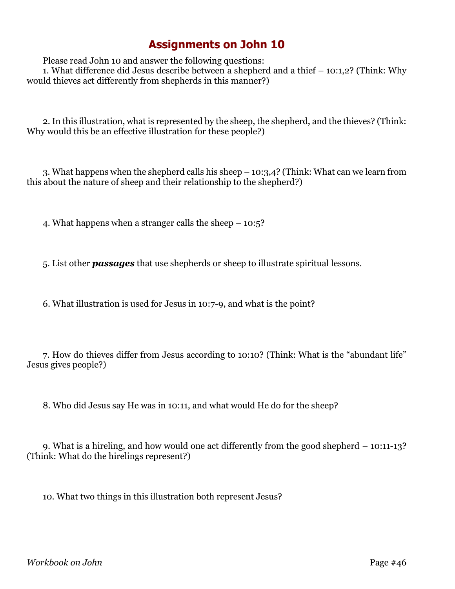Please read John 10 and answer the following questions:

1. What difference did Jesus describe between a shepherd and a thief – 10:1,2? (Think: Why would thieves act differently from shepherds in this manner?)

2. In this illustration, what is represented by the sheep, the shepherd, and the thieves? (Think: Why would this be an effective illustration for these people?)

3. What happens when the shepherd calls his sheep – 10:3,4? (Think: What can we learn from this about the nature of sheep and their relationship to the shepherd?)

4. What happens when a stranger calls the sheep – 10:5?

5. List other *passages* that use shepherds or sheep to illustrate spiritual lessons.

6. What illustration is used for Jesus in 10:7-9, and what is the point?

7. How do thieves differ from Jesus according to 10:10? (Think: What is the "abundant life" Jesus gives people?)

8. Who did Jesus say He was in 10:11, and what would He do for the sheep?

9. What is a hireling, and how would one act differently from the good shepherd – 10:11-13? (Think: What do the hirelings represent?)

10. What two things in this illustration both represent Jesus?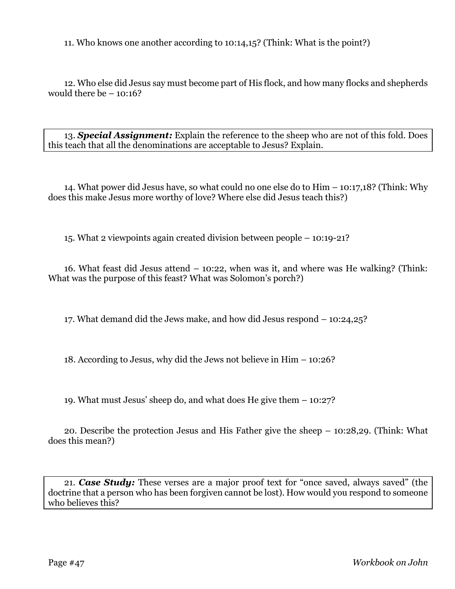11. Who knows one another according to 10:14,15? (Think: What is the point?)

12. Who else did Jesus say must become part of His flock, and how many flocks and shepherds would there be  $-10:16$ ?

13. *Special Assignment:* Explain the reference to the sheep who are not of this fold. Does this teach that all the denominations are acceptable to Jesus? Explain.

14. What power did Jesus have, so what could no one else do to Him – 10:17,18? (Think: Why does this make Jesus more worthy of love? Where else did Jesus teach this?)

15. What 2 viewpoints again created division between people – 10:19-21?

16. What feast did Jesus attend – 10:22, when was it, and where was He walking? (Think: What was the purpose of this feast? What was Solomon's porch?)

17. What demand did the Jews make, and how did Jesus respond – 10:24,25?

18. According to Jesus, why did the Jews not believe in Him – 10:26?

19. What must Jesus' sheep do, and what does He give them – 10:27?

20. Describe the protection Jesus and His Father give the sheep – 10:28,29. (Think: What does this mean?)

21. *Case Study:* These verses are a major proof text for "once saved, always saved" (the doctrine that a person who has been forgiven cannot be lost). How would you respond to someone who believes this?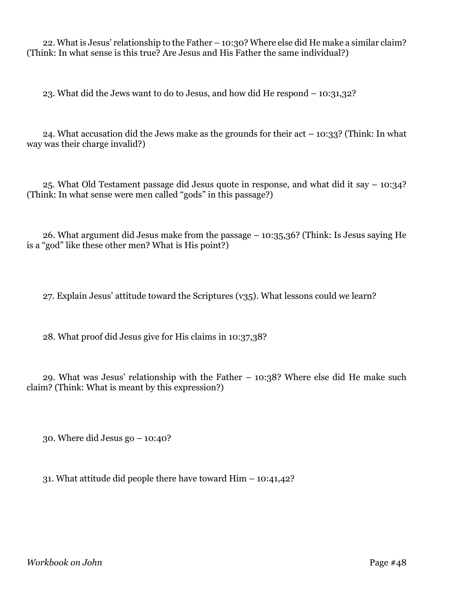22. What is Jesus' relationship to the Father – 10:30? Where else did He make a similar claim? (Think: In what sense is this true? Are Jesus and His Father the same individual?)

23. What did the Jews want to do to Jesus, and how did He respond – 10:31,32?

24. What accusation did the Jews make as the grounds for their act  $-10:33$ ? (Think: In what way was their charge invalid?)

25. What Old Testament passage did Jesus quote in response, and what did it say – 10:34? (Think: In what sense were men called "gods" in this passage?)

26. What argument did Jesus make from the passage – 10:35,36? (Think: Is Jesus saying He is a "god" like these other men? What is His point?)

27. Explain Jesus' attitude toward the Scriptures (v35). What lessons could we learn?

28. What proof did Jesus give for His claims in 10:37,38?

29. What was Jesus' relationship with the Father – 10:38? Where else did He make such claim? (Think: What is meant by this expression?)

30. Where did Jesus go – 10:40?

31. What attitude did people there have toward Him – 10:41,42?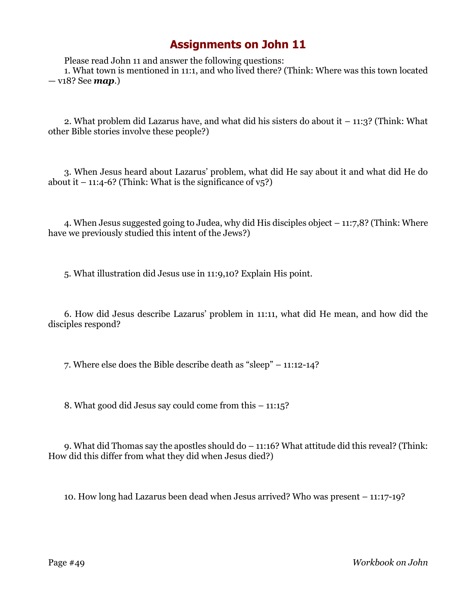Please read John 11 and answer the following questions:

1. What town is mentioned in 11:1, and who lived there? (Think: Where was this town located — v18? See *map*.)

2. What problem did Lazarus have, and what did his sisters do about it – 11:3? (Think: What other Bible stories involve these people?)

3. When Jesus heard about Lazarus' problem, what did He say about it and what did He do about it  $-11:4-6$ ? (Think: What is the significance of  $v_5$ ?)

4. When Jesus suggested going to Judea, why did His disciples object – 11:7,8? (Think: Where have we previously studied this intent of the Jews?)

5. What illustration did Jesus use in 11:9,10? Explain His point.

6. How did Jesus describe Lazarus' problem in 11:11, what did He mean, and how did the disciples respond?

7. Where else does the Bible describe death as "sleep" – 11:12-14?

8. What good did Jesus say could come from this – 11:15?

9. What did Thomas say the apostles should do – 11:16? What attitude did this reveal? (Think: How did this differ from what they did when Jesus died?)

10. How long had Lazarus been dead when Jesus arrived? Who was present – 11:17-19?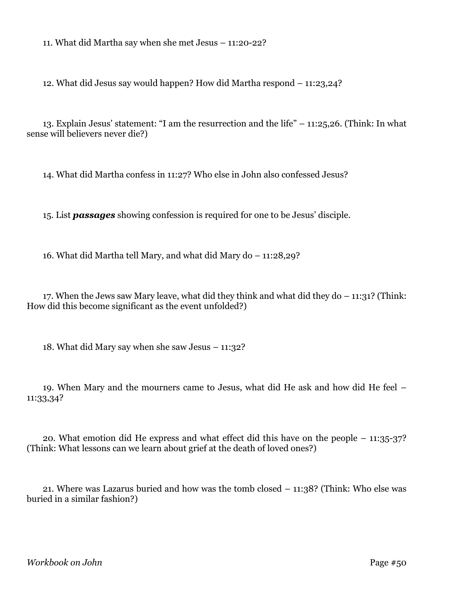11. What did Martha say when she met Jesus – 11:20-22?

12. What did Jesus say would happen? How did Martha respond – 11:23,24?

13. Explain Jesus' statement: "I am the resurrection and the life" – 11:25,26. (Think: In what sense will believers never die?)

14. What did Martha confess in 11:27? Who else in John also confessed Jesus?

15. List *passages* showing confession is required for one to be Jesus' disciple.

16. What did Martha tell Mary, and what did Mary do – 11:28,29?

17. When the Jews saw Mary leave, what did they think and what did they do – 11:31? (Think: How did this become significant as the event unfolded?)

18. What did Mary say when she saw Jesus – 11:32?

19. When Mary and the mourners came to Jesus, what did He ask and how did He feel – 11:33,34?

20. What emotion did He express and what effect did this have on the people – 11:35-37? (Think: What lessons can we learn about grief at the death of loved ones?)

21. Where was Lazarus buried and how was the tomb closed – 11:38? (Think: Who else was buried in a similar fashion?)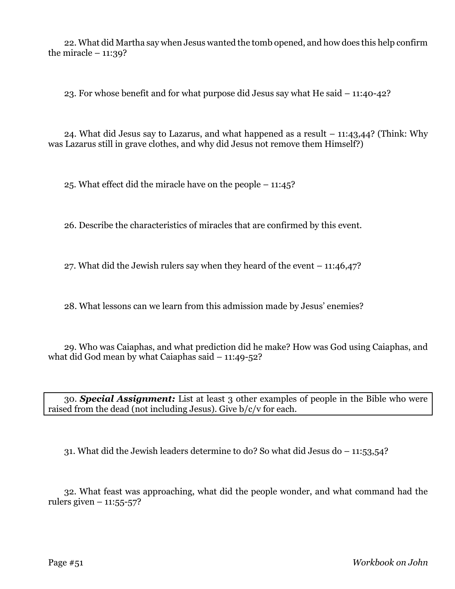22. What did Martha say when Jesus wanted the tomb opened, and how does this help confirm the miracle  $-11:39$ ?

23. For whose benefit and for what purpose did Jesus say what He said – 11:40-42?

24. What did Jesus say to Lazarus, and what happened as a result – 11:43,44? (Think: Why was Lazarus still in grave clothes, and why did Jesus not remove them Himself?)

25. What effect did the miracle have on the people – 11:45?

26. Describe the characteristics of miracles that are confirmed by this event.

27. What did the Jewish rulers say when they heard of the event – 11:46,47?

28. What lessons can we learn from this admission made by Jesus' enemies?

29. Who was Caiaphas, and what prediction did he make? How was God using Caiaphas, and what did God mean by what Caiaphas said – 11:49-52?

30. *Special Assignment:* List at least 3 other examples of people in the Bible who were raised from the dead (not including Jesus). Give b/c/v for each.

31. What did the Jewish leaders determine to do? So what did Jesus do – 11:53,54?

32. What feast was approaching, what did the people wonder, and what command had the rulers given  $-11:55-57$ ?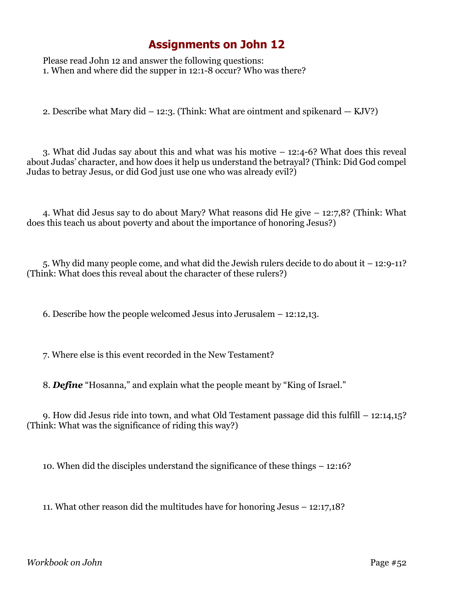Please read John 12 and answer the following questions: 1. When and where did the supper in 12:1-8 occur? Who was there?

2. Describe what Mary did  $-12:3$ . (Think: What are ointment and spikenard  $-$  KJV?)

3. What did Judas say about this and what was his motive – 12:4-6? What does this reveal about Judas' character, and how does it help us understand the betrayal? (Think: Did God compel Judas to betray Jesus, or did God just use one who was already evil?)

4. What did Jesus say to do about Mary? What reasons did He give – 12:7,8? (Think: What does this teach us about poverty and about the importance of honoring Jesus?)

5. Why did many people come, and what did the Jewish rulers decide to do about it – 12:9-11? (Think: What does this reveal about the character of these rulers?)

6. Describe how the people welcomed Jesus into Jerusalem – 12:12,13.

7. Where else is this event recorded in the New Testament?

8. *Define* "Hosanna," and explain what the people meant by "King of Israel."

9. How did Jesus ride into town, and what Old Testament passage did this fulfill – 12:14,15? (Think: What was the significance of riding this way?)

10. When did the disciples understand the significance of these things – 12:16?

11. What other reason did the multitudes have for honoring Jesus – 12:17,18?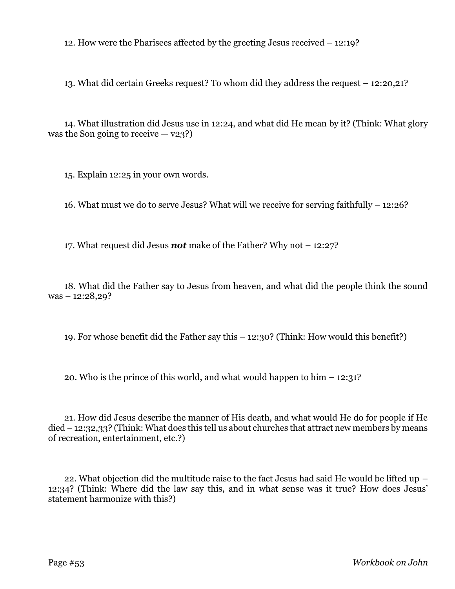12. How were the Pharisees affected by the greeting Jesus received – 12:19?

13. What did certain Greeks request? To whom did they address the request – 12:20,21?

14. What illustration did Jesus use in 12:24, and what did He mean by it? (Think: What glory was the Son going to receive  $-$  v23?)

15. Explain 12:25 in your own words.

16. What must we do to serve Jesus? What will we receive for serving faithfully – 12:26?

17. What request did Jesus *not* make of the Father? Why not – 12:27?

18. What did the Father say to Jesus from heaven, and what did the people think the sound was – 12:28,29?

19. For whose benefit did the Father say this – 12:30? (Think: How would this benefit?)

20. Who is the prince of this world, and what would happen to him  $-12:31$ ?

21. How did Jesus describe the manner of His death, and what would He do for people if He died – 12:32,33? (Think: What does this tell us about churches that attract new members by means of recreation, entertainment, etc.?)

22. What objection did the multitude raise to the fact Jesus had said He would be lifted up – 12:34? (Think: Where did the law say this, and in what sense was it true? How does Jesus' statement harmonize with this?)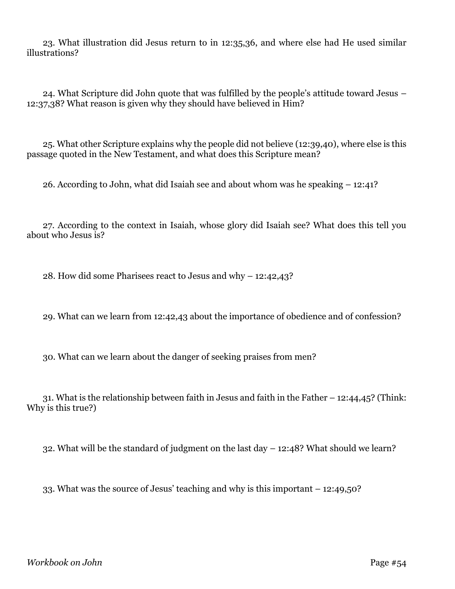23. What illustration did Jesus return to in 12:35,36, and where else had He used similar illustrations?

24. What Scripture did John quote that was fulfilled by the people's attitude toward Jesus – 12:37,38? What reason is given why they should have believed in Him?

25. What other Scripture explains why the people did not believe (12:39,40), where else is this passage quoted in the New Testament, and what does this Scripture mean?

26. According to John, what did Isaiah see and about whom was he speaking – 12:41?

27. According to the context in Isaiah, whose glory did Isaiah see? What does this tell you about who Jesus is?

28. How did some Pharisees react to Jesus and why – 12:42,43?

29. What can we learn from 12:42,43 about the importance of obedience and of confession?

30. What can we learn about the danger of seeking praises from men?

31. What is the relationship between faith in Jesus and faith in the Father – 12:44,45? (Think: Why is this true?)

32. What will be the standard of judgment on the last day – 12:48? What should we learn?

33. What was the source of Jesus' teaching and why is this important – 12:49,50?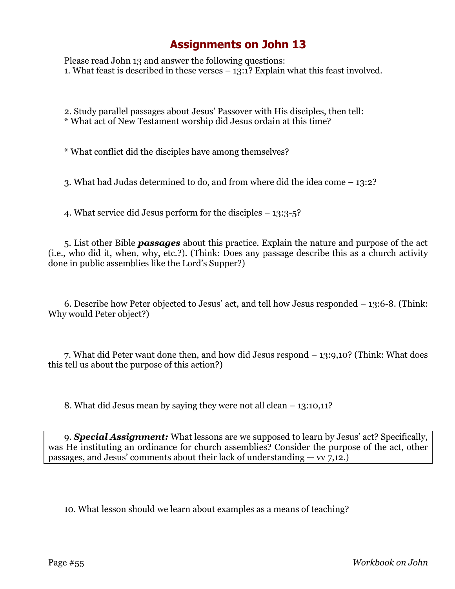Please read John 13 and answer the following questions: 1. What feast is described in these verses  $-13:1$ ? Explain what this feast involved.

2. Study parallel passages about Jesus' Passover with His disciples, then tell: \* What act of New Testament worship did Jesus ordain at this time?

\* What conflict did the disciples have among themselves?

3. What had Judas determined to do, and from where did the idea come – 13:2?

4. What service did Jesus perform for the disciples – 13:3-5?

5. List other Bible *passages* about this practice. Explain the nature and purpose of the act (i.e., who did it, when, why, etc.?). (Think: Does any passage describe this as a church activity done in public assemblies like the Lord's Supper?)

6. Describe how Peter objected to Jesus' act, and tell how Jesus responded – 13:6-8. (Think: Why would Peter object?)

7. What did Peter want done then, and how did Jesus respond – 13:9,10? (Think: What does this tell us about the purpose of this action?)

8. What did Jesus mean by saying they were not all clean – 13:10,11?

9. **Special Assignment:** What lessons are we supposed to learn by Jesus' act? Specifically, was He instituting an ordinance for church assemblies? Consider the purpose of the act, other passages, and Jesus' comments about their lack of understanding  $-$  vv 7,12.)

10. What lesson should we learn about examples as a means of teaching?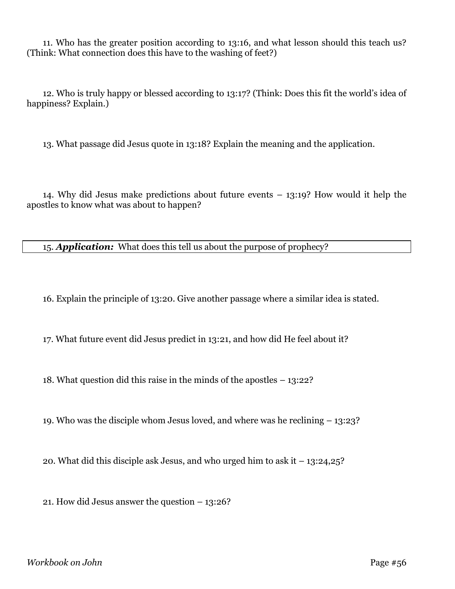11. Who has the greater position according to 13:16, and what lesson should this teach us? (Think: What connection does this have to the washing of feet?)

12. Who is truly happy or blessed according to 13:17? (Think: Does this fit the world's idea of happiness? Explain.)

13. What passage did Jesus quote in 13:18? Explain the meaning and the application.

14. Why did Jesus make predictions about future events – 13:19? How would it help the apostles to know what was about to happen?

15. *Application:* What does this tell us about the purpose of prophecy?

16. Explain the principle of 13:20. Give another passage where a similar idea is stated.

17. What future event did Jesus predict in 13:21, and how did He feel about it?

18. What question did this raise in the minds of the apostles – 13:22?

19. Who was the disciple whom Jesus loved, and where was he reclining – 13:23?

20. What did this disciple ask Jesus, and who urged him to ask it – 13:24,25?

21. How did Jesus answer the question – 13:26?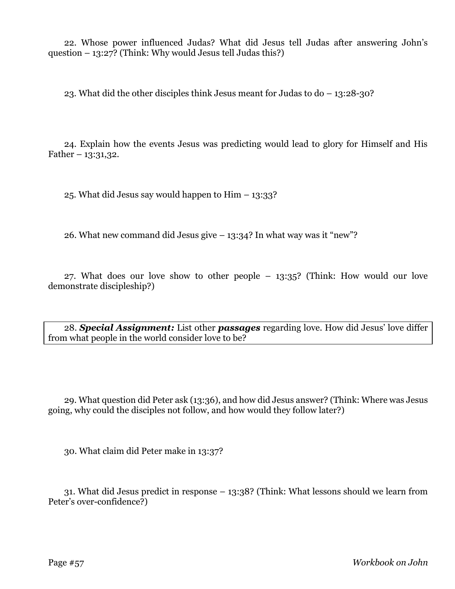22. Whose power influenced Judas? What did Jesus tell Judas after answering John's question – 13:27? (Think: Why would Jesus tell Judas this?)

23. What did the other disciples think Jesus meant for Judas to do – 13:28-30?

24. Explain how the events Jesus was predicting would lead to glory for Himself and His Father –  $13:31,32$ .

25. What did Jesus say would happen to Him – 13:33?

26. What new command did Jesus give  $-13:34$ ? In what way was it "new"?

27. What does our love show to other people – 13:35? (Think: How would our love demonstrate discipleship?)

28. *Special Assignment:* List other *passages* regarding love. How did Jesus' love differ from what people in the world consider love to be?

29. What question did Peter ask (13:36), and how did Jesus answer? (Think: Where was Jesus going, why could the disciples not follow, and how would they follow later?)

30. What claim did Peter make in 13:37?

31. What did Jesus predict in response – 13:38? (Think: What lessons should we learn from Peter's over-confidence?)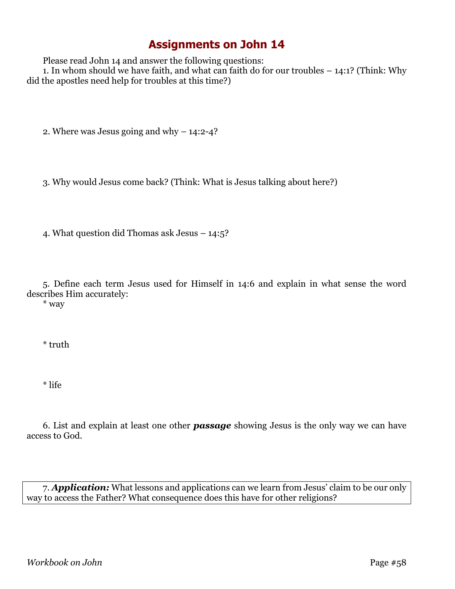Please read John 14 and answer the following questions:

1. In whom should we have faith, and what can faith do for our troubles – 14:1? (Think: Why did the apostles need help for troubles at this time?)

2. Where was Jesus going and why – 14:2-4?

3. Why would Jesus come back? (Think: What is Jesus talking about here?)

4. What question did Thomas ask Jesus – 14:5?

5. Define each term Jesus used for Himself in 14:6 and explain in what sense the word describes Him accurately:

\* way

\* truth

\* life

6. List and explain at least one other *passage* showing Jesus is the only way we can have access to God.

7. *Application:* What lessons and applications can we learn from Jesus' claim to be our only way to access the Father? What consequence does this have for other religions?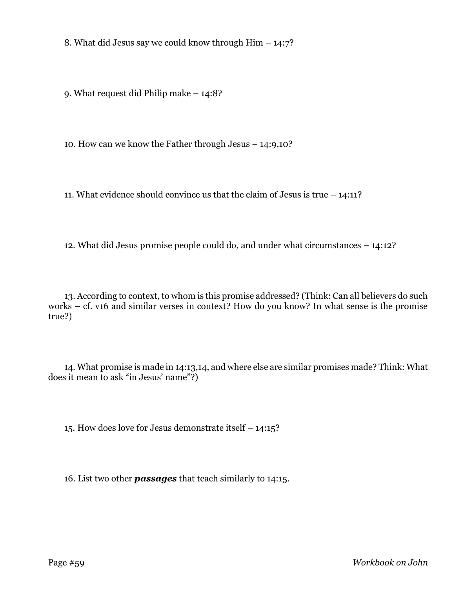8. What did Jesus say we could know through Him – 14:7?

9. What request did Philip make – 14:8?

10. How can we know the Father through Jesus – 14:9,10?

11. What evidence should convince us that the claim of Jesus is true – 14:11?

12. What did Jesus promise people could do, and under what circumstances – 14:12?

13. According to context, to whom is this promise addressed? (Think: Can all believers do such works – cf. v16 and similar verses in context? How do you know? In what sense is the promise true?)

14. What promise is made in 14:13,14, and where else are similar promises made? Think: What does it mean to ask "in Jesus' name"?)

15. How does love for Jesus demonstrate itself – 14:15?

16. List two other *passages* that teach similarly to 14:15.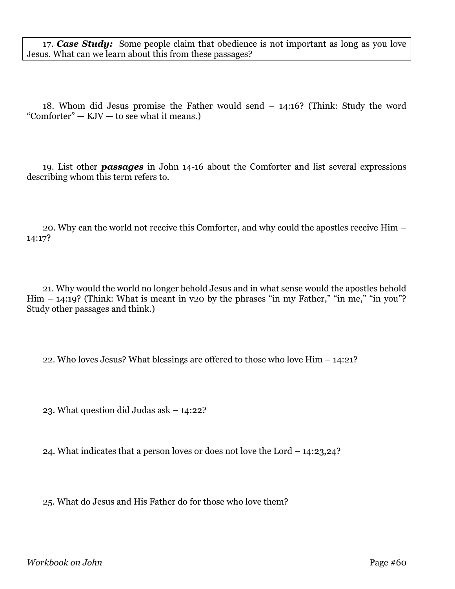17. *Case Study:* Some people claim that obedience is not important as long as you love Jesus. What can we learn about this from these passages?

18. Whom did Jesus promise the Father would send – 14:16? (Think: Study the word "Comforter"  $-$  KJV  $-$  to see what it means.)

19. List other *passages* in John 14-16 about the Comforter and list several expressions describing whom this term refers to.

20. Why can the world not receive this Comforter, and why could the apostles receive Him – 14:17?

21. Why would the world no longer behold Jesus and in what sense would the apostles behold Him  $-$  14:19? (Think: What is meant in v20 by the phrases "in my Father," "in me," "in you"? Study other passages and think.)

22. Who loves Jesus? What blessings are offered to those who love Him – 14:21?

23. What question did Judas ask – 14:22?

24. What indicates that a person loves or does not love the Lord – 14:23,24?

25. What do Jesus and His Father do for those who love them?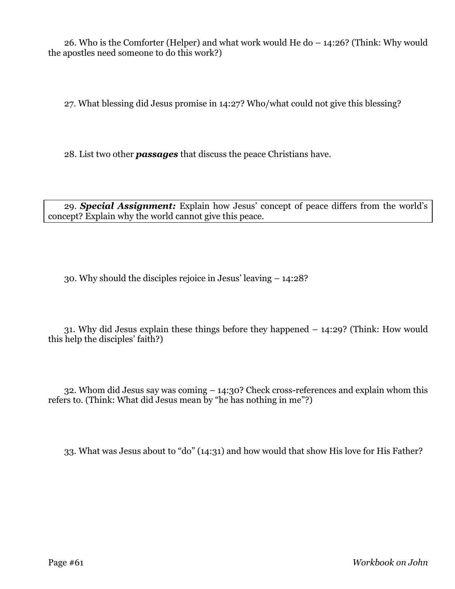26. Who is the Comforter (Helper) and what work would He do – 14:26? (Think: Why would the apostles need someone to do this work?)

27. What blessing did Jesus promise in 14:27? Who/what could not give this blessing?

28. List two other *passages* that discuss the peace Christians have.

29. *Special Assignment:* Explain how Jesus' concept of peace differs from the world's concept? Explain why the world cannot give this peace.

30. Why should the disciples rejoice in Jesus' leaving – 14:28?

31. Why did Jesus explain these things before they happened – 14:29? (Think: How would this help the disciples' faith?)

32. Whom did Jesus say was coming – 14:30? Check cross-references and explain whom this refers to. (Think: What did Jesus mean by "he has nothing in me"?)

33. What was Jesus about to "do" (14:31) and how would that show His love for His Father?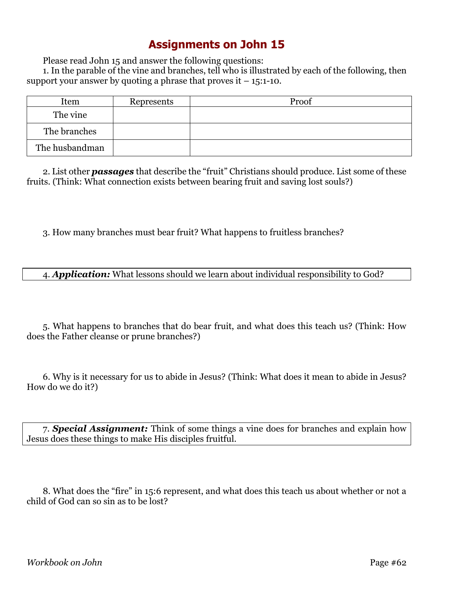Please read John 15 and answer the following questions:

1. In the parable of the vine and branches, tell who is illustrated by each of the following, then support your answer by quoting a phrase that proves it  $-15$ :1-10.

| Item           | Represents | Proof |
|----------------|------------|-------|
| The vine       |            |       |
| The branches   |            |       |
| The husbandman |            |       |

2. List other *passages* that describe the "fruit" Christians should produce. List some of these fruits. (Think: What connection exists between bearing fruit and saving lost souls?)

3. How many branches must bear fruit? What happens to fruitless branches?

4. *Application:* What lessons should we learn about individual responsibility to God?

5. What happens to branches that do bear fruit, and what does this teach us? (Think: How does the Father cleanse or prune branches?)

6. Why is it necessary for us to abide in Jesus? (Think: What does it mean to abide in Jesus? How do we do it?)

7. *Special Assignment:* Think of some things a vine does for branches and explain how Jesus does these things to make His disciples fruitful.

8. What does the "fire" in 15:6 represent, and what does this teach us about whether or not a child of God can so sin as to be lost?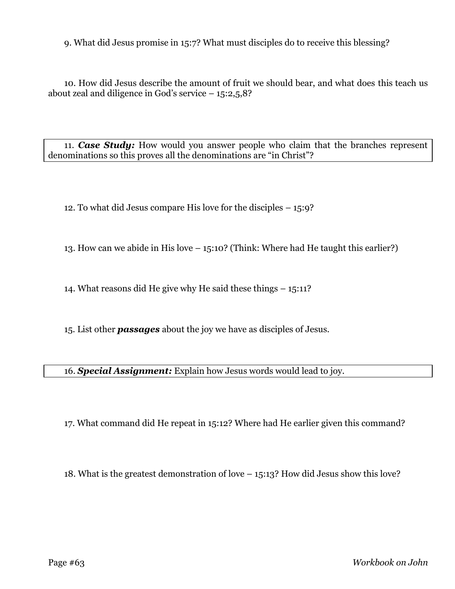9. What did Jesus promise in 15:7? What must disciples do to receive this blessing?

10. How did Jesus describe the amount of fruit we should bear, and what does this teach us about zeal and diligence in God's service  $-15:2,5,8$ ?

11. *Case Study:* How would you answer people who claim that the branches represent denominations so this proves all the denominations are "in Christ"?

12. To what did Jesus compare His love for the disciples – 15:9?

13. How can we abide in His love – 15:10? (Think: Where had He taught this earlier?)

14. What reasons did He give why He said these things – 15:11?

15. List other *passages* about the joy we have as disciples of Jesus.

16. *Special Assignment:* Explain how Jesus words would lead to joy.

17. What command did He repeat in 15:12? Where had He earlier given this command?

18. What is the greatest demonstration of love – 15:13? How did Jesus show this love?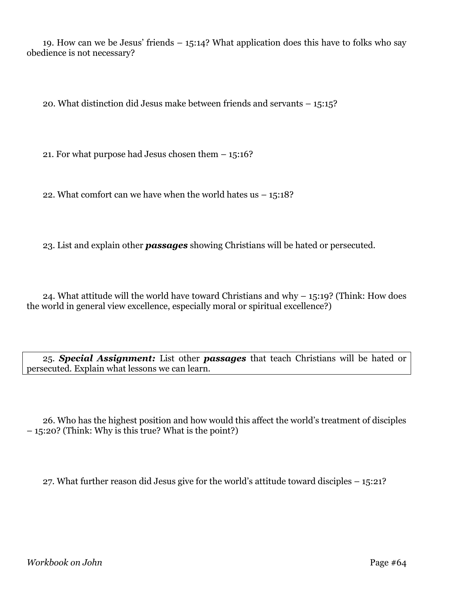19. How can we be Jesus' friends – 15:14? What application does this have to folks who say obedience is not necessary?

20. What distinction did Jesus make between friends and servants – 15:15?

21. For what purpose had Jesus chosen them – 15:16?

22. What comfort can we have when the world hates us  $-15:18$ ?

23. List and explain other *passages* showing Christians will be hated or persecuted.

24. What attitude will the world have toward Christians and why  $-$  15:19? (Think: How does the world in general view excellence, especially moral or spiritual excellence?)

25. *Special Assignment:* List other *passages* that teach Christians will be hated or persecuted. Explain what lessons we can learn.

26. Who has the highest position and how would this affect the world's treatment of disciples – 15:20? (Think: Why is this true? What is the point?)

27. What further reason did Jesus give for the world's attitude toward disciples – 15:21?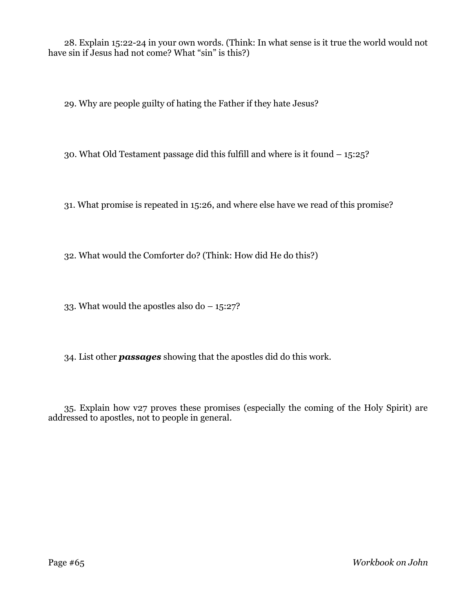28. Explain 15:22-24 in your own words. (Think: In what sense is it true the world would not have sin if Jesus had not come? What "sin" is this?)

29. Why are people guilty of hating the Father if they hate Jesus?

30. What Old Testament passage did this fulfill and where is it found – 15:25?

31. What promise is repeated in 15:26, and where else have we read of this promise?

32. What would the Comforter do? (Think: How did He do this?)

33. What would the apostles also do – 15:27?

34. List other *passages* showing that the apostles did do this work.

35. Explain how v27 proves these promises (especially the coming of the Holy Spirit) are addressed to apostles, not to people in general.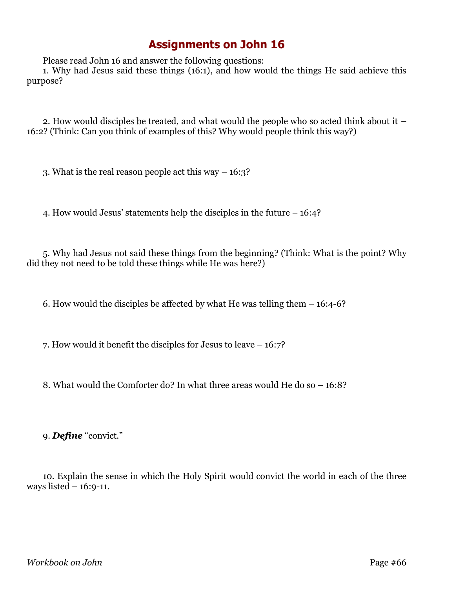Please read John 16 and answer the following questions:

1. Why had Jesus said these things (16:1), and how would the things He said achieve this purpose?

2. How would disciples be treated, and what would the people who so acted think about it – 16:2? (Think: Can you think of examples of this? Why would people think this way?)

3. What is the real reason people act this way – 16:3?

4. How would Jesus' statements help the disciples in the future – 16:4?

5. Why had Jesus not said these things from the beginning? (Think: What is the point? Why did they not need to be told these things while He was here?)

6. How would the disciples be affected by what He was telling them – 16:4-6?

7. How would it benefit the disciples for Jesus to leave – 16:7?

8. What would the Comforter do? In what three areas would He do so – 16:8?

9. *Define* "convict."

10. Explain the sense in which the Holy Spirit would convict the world in each of the three ways listed – 16:9-11.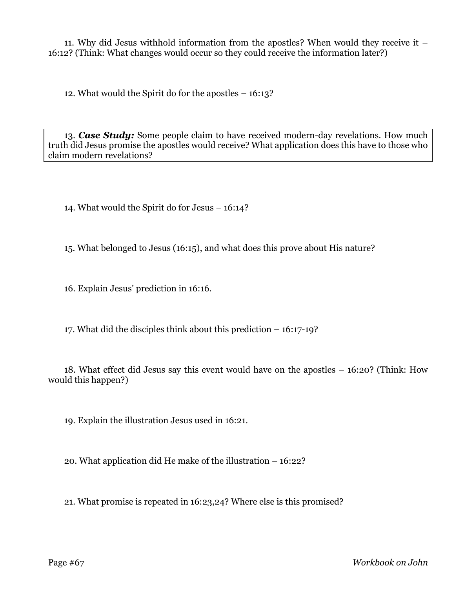11. Why did Jesus withhold information from the apostles? When would they receive it – 16:12? (Think: What changes would occur so they could receive the information later?)

12. What would the Spirit do for the apostles – 16:13?

13. *Case Study:* Some people claim to have received modern-day revelations. How much truth did Jesus promise the apostles would receive? What application does this have to those who claim modern revelations?

14. What would the Spirit do for Jesus – 16:14?

15. What belonged to Jesus (16:15), and what does this prove about His nature?

16. Explain Jesus' prediction in 16:16.

17. What did the disciples think about this prediction – 16:17-19?

18. What effect did Jesus say this event would have on the apostles – 16:20? (Think: How would this happen?)

19. Explain the illustration Jesus used in 16:21.

20. What application did He make of the illustration – 16:22?

21. What promise is repeated in 16:23,24? Where else is this promised?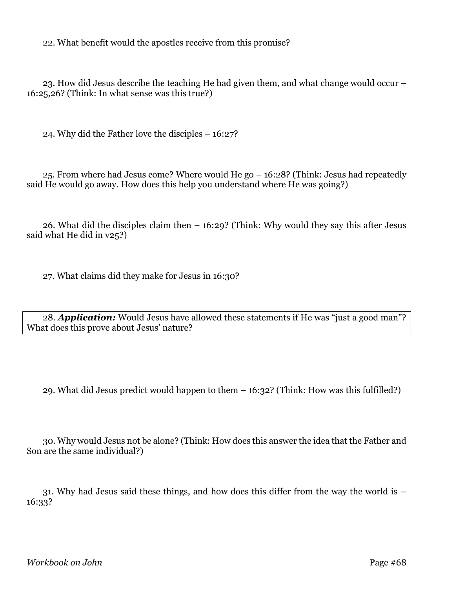22. What benefit would the apostles receive from this promise?

23. How did Jesus describe the teaching He had given them, and what change would occur – 16:25,26? (Think: In what sense was this true?)

24. Why did the Father love the disciples – 16:27?

25. From where had Jesus come? Where would He go – 16:28? (Think: Jesus had repeatedly said He would go away. How does this help you understand where He was going?)

26. What did the disciples claim then – 16:29? (Think: Why would they say this after Jesus said what He did in v25?)

27. What claims did they make for Jesus in 16:30?

28. *Application:* Would Jesus have allowed these statements if He was "just a good man"? What does this prove about Jesus' nature?

29. What did Jesus predict would happen to them – 16:32? (Think: How was this fulfilled?)

30. Why would Jesus not be alone? (Think: How does this answer the idea that the Father and Son are the same individual?)

31. Why had Jesus said these things, and how does this differ from the way the world is – 16:33?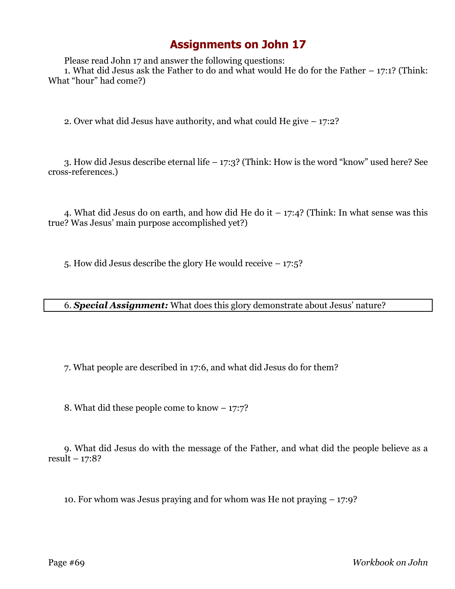Please read John 17 and answer the following questions:

1. What did Jesus ask the Father to do and what would He do for the Father – 17:1? (Think: What "hour" had come?)

2. Over what did Jesus have authority, and what could He give – 17:2?

3. How did Jesus describe eternal life – 17:3? (Think: How is the word "know" used here? See cross-references.)

4. What did Jesus do on earth, and how did He do it  $-17:4$ ? (Think: In what sense was this true? Was Jesus' main purpose accomplished yet?)

5. How did Jesus describe the glory He would receive – 17:5?

6. *Special Assignment:* What does this glory demonstrate about Jesus' nature?

7. What people are described in 17:6, and what did Jesus do for them?

8. What did these people come to know – 17:7?

9. What did Jesus do with the message of the Father, and what did the people believe as a result  $-17:8?$ 

10. For whom was Jesus praying and for whom was He not praying – 17:9?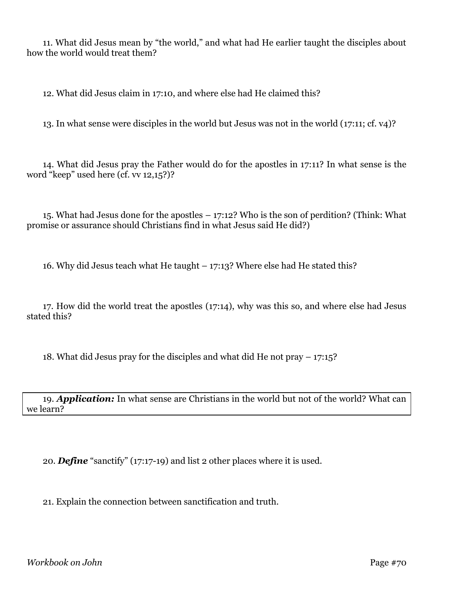11. What did Jesus mean by "the world," and what had He earlier taught the disciples about how the world would treat them?

12. What did Jesus claim in 17:10, and where else had He claimed this?

13. In what sense were disciples in the world but Jesus was not in the world (17:11; cf. v4)?

14. What did Jesus pray the Father would do for the apostles in 17:11? In what sense is the word "keep" used here (cf. vv 12,15?)?

15. What had Jesus done for the apostles – 17:12? Who is the son of perdition? (Think: What promise or assurance should Christians find in what Jesus said He did?)

16. Why did Jesus teach what He taught – 17:13? Where else had He stated this?

17. How did the world treat the apostles (17:14), why was this so, and where else had Jesus stated this?

18. What did Jesus pray for the disciples and what did He not pray – 17:15?

19. *Application:* In what sense are Christians in the world but not of the world? What can we learn?

20. *Define* "sanctify" (17:17-19) and list 2 other places where it is used.

21. Explain the connection between sanctification and truth.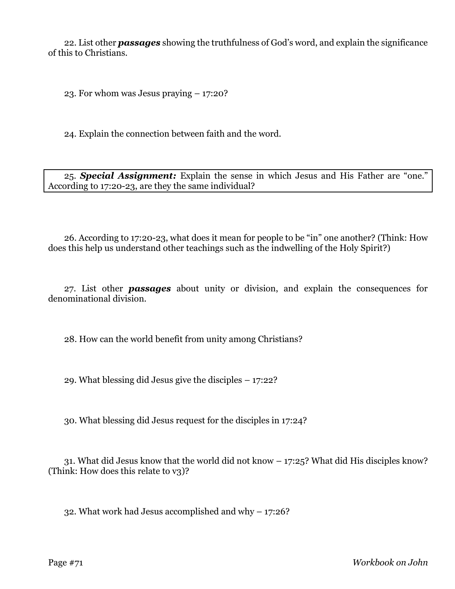22. List other *passages* showing the truthfulness of God's word, and explain the significance of this to Christians.

23. For whom was Jesus praying – 17:20?

24. Explain the connection between faith and the word.

25. *Special Assignment:* Explain the sense in which Jesus and His Father are "one." According to 17:20-23, are they the same individual?

26. According to 17:20-23, what does it mean for people to be "in" one another? (Think: How does this help us understand other teachings such as the indwelling of the Holy Spirit?)

27. List other *passages* about unity or division, and explain the consequences for denominational division.

28. How can the world benefit from unity among Christians?

29. What blessing did Jesus give the disciples – 17:22?

30. What blessing did Jesus request for the disciples in 17:24?

31. What did Jesus know that the world did not know – 17:25? What did His disciples know? (Think: How does this relate to v3)?

32. What work had Jesus accomplished and why – 17:26?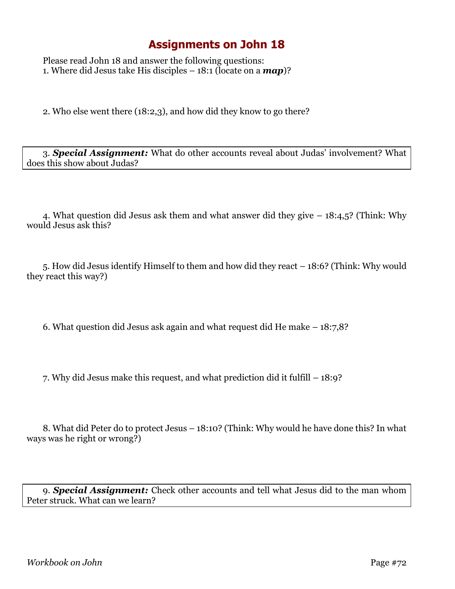Please read John 18 and answer the following questions: 1. Where did Jesus take His disciples – 18:1 (locate on a *map*)?

2. Who else went there (18:2,3), and how did they know to go there?

3. *Special Assignment:* What do other accounts reveal about Judas' involvement? What does this show about Judas?

4. What question did Jesus ask them and what answer did they give – 18:4,5? (Think: Why would Jesus ask this?

5. How did Jesus identify Himself to them and how did they react – 18:6? (Think: Why would they react this way?)

6. What question did Jesus ask again and what request did He make – 18:7,8?

7. Why did Jesus make this request, and what prediction did it fulfill – 18:9?

8. What did Peter do to protect Jesus – 18:10? (Think: Why would he have done this? In what ways was he right or wrong?)

9. *Special Assignment:* Check other accounts and tell what Jesus did to the man whom Peter struck. What can we learn?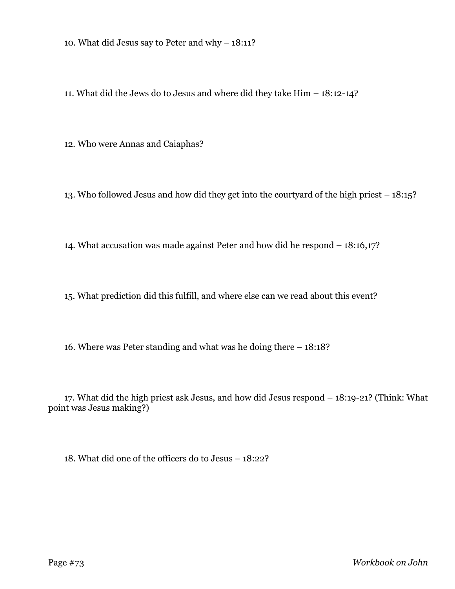10. What did Jesus say to Peter and why – 18:11?

11. What did the Jews do to Jesus and where did they take Him – 18:12-14?

12. Who were Annas and Caiaphas?

13. Who followed Jesus and how did they get into the courtyard of the high priest – 18:15?

14. What accusation was made against Peter and how did he respond – 18:16,17?

15. What prediction did this fulfill, and where else can we read about this event?

16. Where was Peter standing and what was he doing there – 18:18?

17. What did the high priest ask Jesus, and how did Jesus respond – 18:19-21? (Think: What point was Jesus making?)

18. What did one of the officers do to Jesus – 18:22?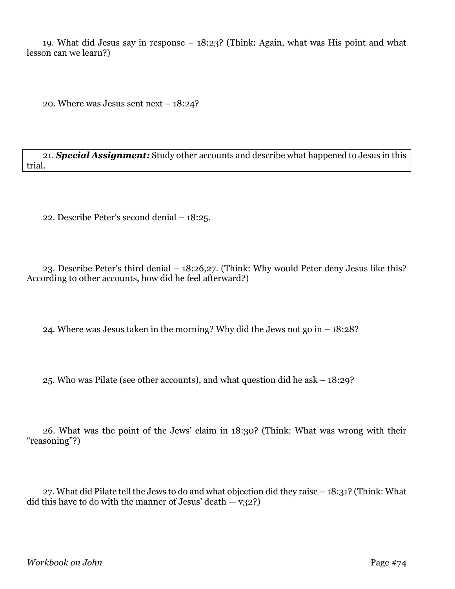19. What did Jesus say in response – 18:23? (Think: Again, what was His point and what lesson can we learn?)

20. Where was Jesus sent next – 18:24?

21. *Special Assignment:* Study other accounts and describe what happened to Jesus in this trial.

22. Describe Peter's second denial – 18:25.

23. Describe Peter's third denial – 18:26,27. (Think: Why would Peter deny Jesus like this? According to other accounts, how did he feel afterward?)

24. Where was Jesus taken in the morning? Why did the Jews not go in – 18:28?

25. Who was Pilate (see other accounts), and what question did he ask – 18:29?

26. What was the point of the Jews' claim in 18:30? (Think: What was wrong with their "reasoning"?)

27. What did Pilate tell the Jews to do and what objection did they raise – 18:31? (Think: What did this have to do with the manner of Jesus' death  $-$  v32?)

*Workbook on John* Page #74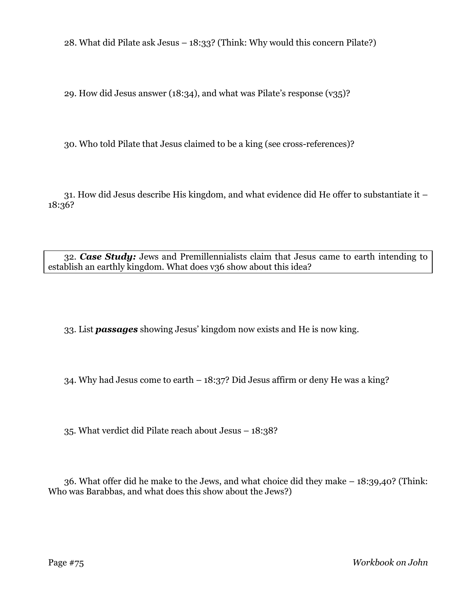28. What did Pilate ask Jesus – 18:33? (Think: Why would this concern Pilate?)

29. How did Jesus answer (18:34), and what was Pilate's response (v35)?

30. Who told Pilate that Jesus claimed to be a king (see cross-references)?

31. How did Jesus describe His kingdom, and what evidence did He offer to substantiate it – 18:36?

32. *Case Study:* Jews and Premillennialists claim that Jesus came to earth intending to establish an earthly kingdom. What does v36 show about this idea?

33. List *passages* showing Jesus' kingdom now exists and He is now king.

34. Why had Jesus come to earth – 18:37? Did Jesus affirm or deny He was a king?

35. What verdict did Pilate reach about Jesus – 18:38?

36. What offer did he make to the Jews, and what choice did they make – 18:39,40? (Think: Who was Barabbas, and what does this show about the Jews?)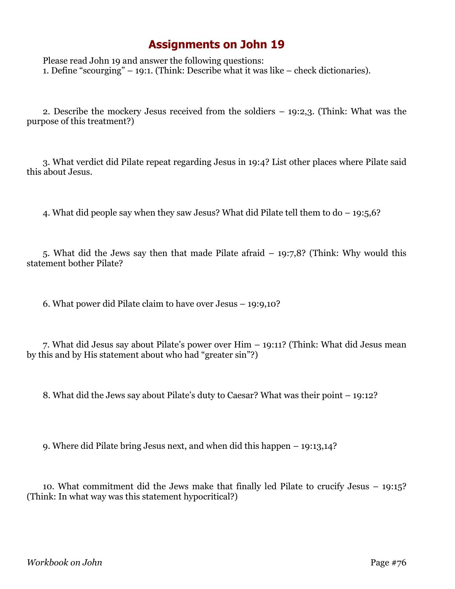## **Assignments on John 19**

Please read John 19 and answer the following questions: 1. Define "scourging" – 19:1. (Think: Describe what it was like – check dictionaries).

2. Describe the mockery Jesus received from the soldiers – 19:2,3. (Think: What was the purpose of this treatment?)

3. What verdict did Pilate repeat regarding Jesus in 19:4? List other places where Pilate said this about Jesus.

4. What did people say when they saw Jesus? What did Pilate tell them to do – 19:5,6?

5. What did the Jews say then that made Pilate afraid – 19:7,8? (Think: Why would this statement bother Pilate?

6. What power did Pilate claim to have over Jesus – 19:9,10?

7. What did Jesus say about Pilate's power over Him – 19:11? (Think: What did Jesus mean by this and by His statement about who had "greater sin"?)

8. What did the Jews say about Pilate's duty to Caesar? What was their point – 19:12?

9. Where did Pilate bring Jesus next, and when did this happen – 19:13,14?

10. What commitment did the Jews make that finally led Pilate to crucify Jesus – 19:15? (Think: In what way was this statement hypocritical?)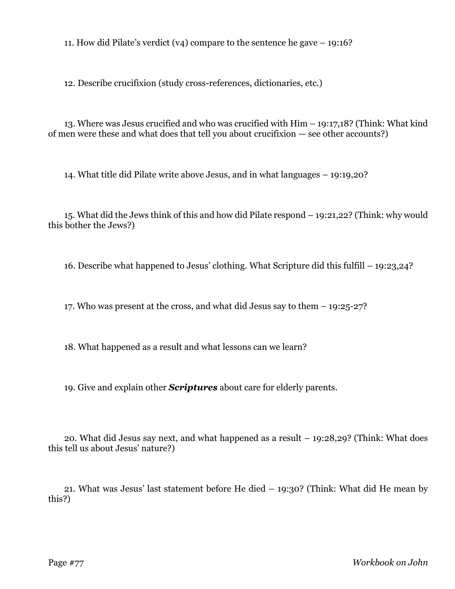11. How did Pilate's verdict (v4) compare to the sentence he gave – 19:16?

12. Describe crucifixion (study cross-references, dictionaries, etc.)

13. Where was Jesus crucified and who was crucified with Him – 19:17,18? (Think: What kind of men were these and what does that tell you about crucifixion — see other accounts?)

14. What title did Pilate write above Jesus, and in what languages – 19:19,20?

15. What did the Jews think of this and how did Pilate respond – 19:21,22? (Think: why would this bother the Jews?)

16. Describe what happened to Jesus' clothing. What Scripture did this fulfill – 19:23,24?

17. Who was present at the cross, and what did Jesus say to them – 19:25-27?

18. What happened as a result and what lessons can we learn?

19. Give and explain other *Scriptures* about care for elderly parents.

20. What did Jesus say next, and what happened as a result – 19:28,29? (Think: What does this tell us about Jesus' nature?)

21. What was Jesus' last statement before He died – 19:30? (Think: What did He mean by this?)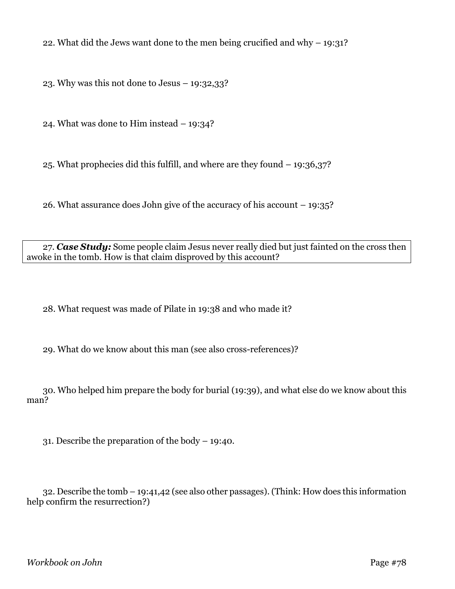22. What did the Jews want done to the men being crucified and why  $-$  19:31?

23. Why was this not done to Jesus – 19:32,33?

24. What was done to Him instead – 19:34?

25. What prophecies did this fulfill, and where are they found – 19:36,37?

26. What assurance does John give of the accuracy of his account – 19:35?

27. *Case Study:* Some people claim Jesus never really died but just fainted on the cross then awoke in the tomb. How is that claim disproved by this account?

28. What request was made of Pilate in 19:38 and who made it?

29. What do we know about this man (see also cross-references)?

30. Who helped him prepare the body for burial (19:39), and what else do we know about this man?

31. Describe the preparation of the body – 19:40.

32. Describe the tomb – 19:41,42 (see also other passages). (Think: How does this information help confirm the resurrection?)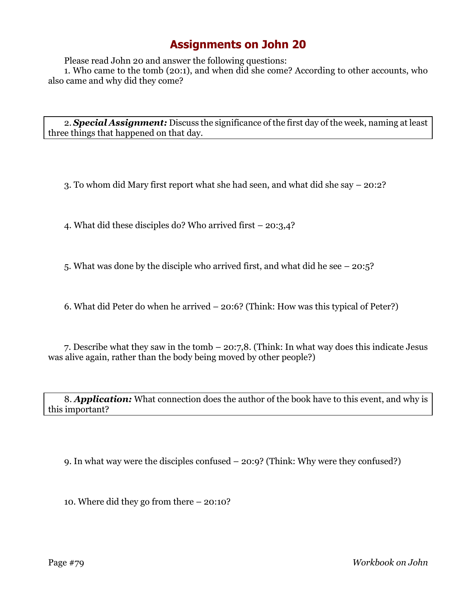## **Assignments on John 20**

Please read John 20 and answer the following questions:

1. Who came to the tomb (20:1), and when did she come? According to other accounts, who also came and why did they come?

2. *Special Assignment:* Discuss the significance of the first day of the week, naming at least three things that happened on that day.

3. To whom did Mary first report what she had seen, and what did she say – 20:2?

4. What did these disciples do? Who arrived first – 20:3,4?

5. What was done by the disciple who arrived first, and what did he see – 20:5?

6. What did Peter do when he arrived – 20:6? (Think: How was this typical of Peter?)

7. Describe what they saw in the tomb – 20:7,8. (Think: In what way does this indicate Jesus was alive again, rather than the body being moved by other people?)

8. *Application:* What connection does the author of the book have to this event, and why is this important?

9. In what way were the disciples confused – 20:9? (Think: Why were they confused?)

10. Where did they go from there – 20:10?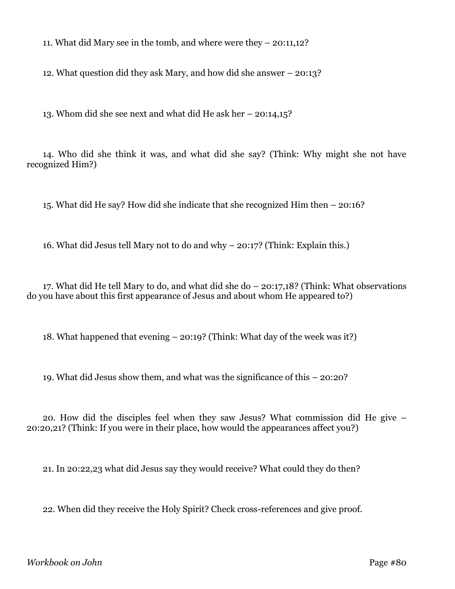11. What did Mary see in the tomb, and where were they – 20:11,12?

12. What question did they ask Mary, and how did she answer – 20:13?

13. Whom did she see next and what did He ask her – 20:14,15?

14. Who did she think it was, and what did she say? (Think: Why might she not have recognized Him?)

15. What did He say? How did she indicate that she recognized Him then – 20:16?

16. What did Jesus tell Mary not to do and why – 20:17? (Think: Explain this.)

17. What did He tell Mary to do, and what did she do – 20:17,18? (Think: What observations do you have about this first appearance of Jesus and about whom He appeared to?)

18. What happened that evening – 20:19? (Think: What day of the week was it?)

19. What did Jesus show them, and what was the significance of this – 20:20?

20. How did the disciples feel when they saw Jesus? What commission did He give – 20:20,21? (Think: If you were in their place, how would the appearances affect you?)

21. In 20:22,23 what did Jesus say they would receive? What could they do then?

22. When did they receive the Holy Spirit? Check cross-references and give proof.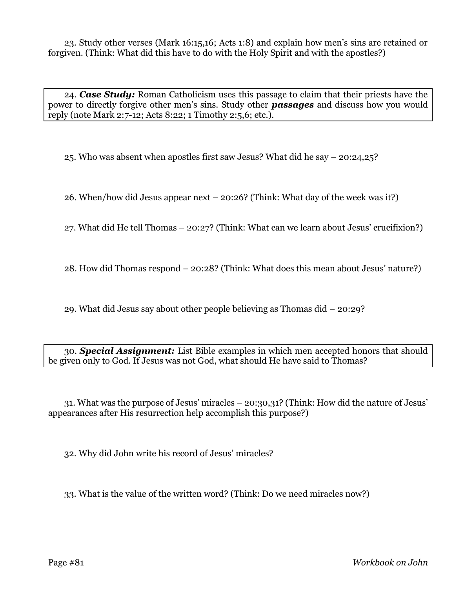23. Study other verses (Mark 16:15,16; Acts 1:8) and explain how men's sins are retained or forgiven. (Think: What did this have to do with the Holy Spirit and with the apostles?)

24. *Case Study:* Roman Catholicism uses this passage to claim that their priests have the power to directly forgive other men's sins. Study other *passages* and discuss how you would reply (note Mark 2:7-12; Acts 8:22; 1 Timothy 2:5,6; etc.).

25. Who was absent when apostles first saw Jesus? What did he say – 20:24,25?

26. When/how did Jesus appear next – 20:26? (Think: What day of the week was it?)

27. What did He tell Thomas – 20:27? (Think: What can we learn about Jesus' crucifixion?)

28. How did Thomas respond – 20:28? (Think: What does this mean about Jesus' nature?)

29. What did Jesus say about other people believing as Thomas did – 20:29?

30. *Special Assignment:* List Bible examples in which men accepted honors that should be given only to God. If Jesus was not God, what should He have said to Thomas?

31. What was the purpose of Jesus' miracles – 20:30,31? (Think: How did the nature of Jesus' appearances after His resurrection help accomplish this purpose?)

32. Why did John write his record of Jesus' miracles?

33. What is the value of the written word? (Think: Do we need miracles now?)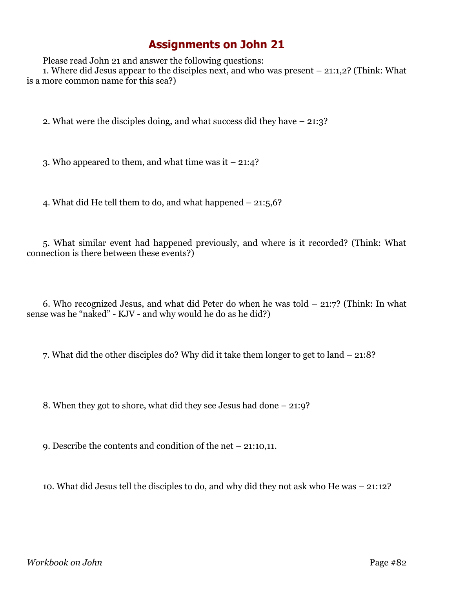## **Assignments on John 21**

Please read John 21 and answer the following questions:

1. Where did Jesus appear to the disciples next, and who was present – 21:1,2? (Think: What is a more common name for this sea?)

2. What were the disciples doing, and what success did they have – 21:3?

3. Who appeared to them, and what time was it  $-21:4$ ?

4. What did He tell them to do, and what happened – 21:5,6?

5. What similar event had happened previously, and where is it recorded? (Think: What connection is there between these events?)

6. Who recognized Jesus, and what did Peter do when he was told – 21:7? (Think: In what sense was he "naked" - KJV - and why would he do as he did?)

7. What did the other disciples do? Why did it take them longer to get to land – 21:8?

8. When they got to shore, what did they see Jesus had done – 21:9?

9. Describe the contents and condition of the net – 21:10,11.

10. What did Jesus tell the disciples to do, and why did they not ask who He was – 21:12?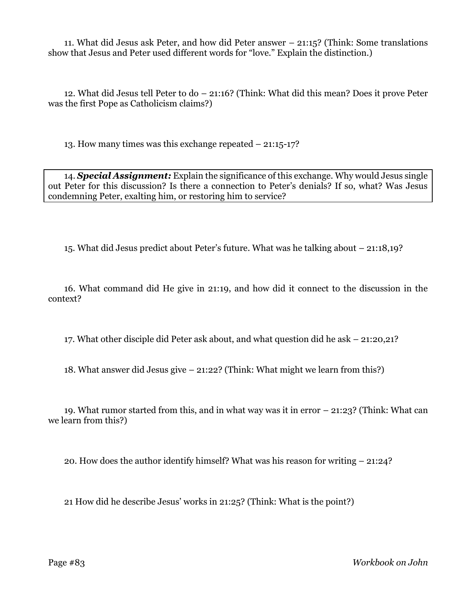11. What did Jesus ask Peter, and how did Peter answer – 21:15? (Think: Some translations show that Jesus and Peter used different words for "love." Explain the distinction.)

12. What did Jesus tell Peter to do – 21:16? (Think: What did this mean? Does it prove Peter was the first Pope as Catholicism claims?)

13. How many times was this exchange repeated – 21:15-17?

14. *Special Assignment:* Explain the significance of this exchange. Why would Jesus single out Peter for this discussion? Is there a connection to Peter's denials? If so, what? Was Jesus condemning Peter, exalting him, or restoring him to service?

15. What did Jesus predict about Peter's future. What was he talking about – 21:18,19?

16. What command did He give in 21:19, and how did it connect to the discussion in the context?

17. What other disciple did Peter ask about, and what question did he ask – 21:20,21?

18. What answer did Jesus give – 21:22? (Think: What might we learn from this?)

19. What rumor started from this, and in what way was it in error – 21:23? (Think: What can we learn from this?)

20. How does the author identify himself? What was his reason for writing – 21:24?

21 How did he describe Jesus' works in 21:25? (Think: What is the point?)